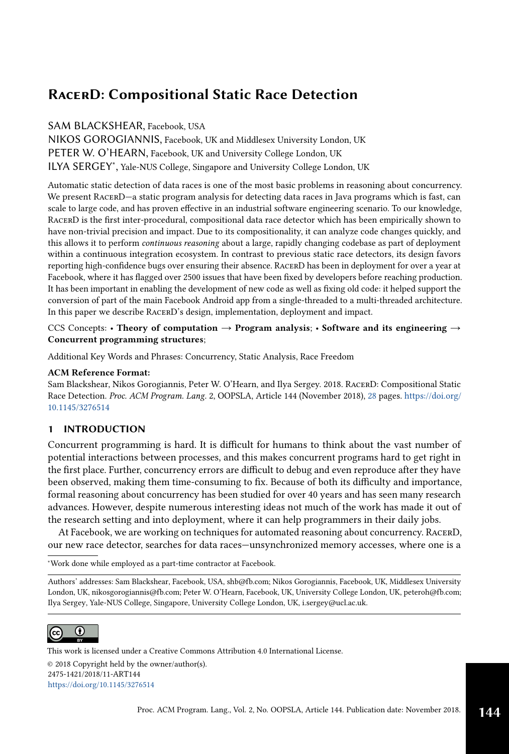# RacerD: Compositional Static Race Detection

# SAM BLACKSHEAR, Facebook, USA

NIKOS GOROGIANNIS, Facebook, UK and Middlesex University London, UK PETER W. O'HEARN, Facebook, UK and University College London, UK ILYA SERGEY<sup>∗</sup> , Yale-NUS College, Singapore and University College London, UK

Automatic static detection of data races is one of the most basic problems in reasoning about concurrency. We present RACERD—a static program analysis for detecting data races in Java programs which is fast, can scale to large code, and has proven effective in an industrial software engineering scenario. To our knowledge, RacerD is the first inter-procedural, compositional data race detector which has been empirically shown to have non-trivial precision and impact. Due to its compositionality, it can analyze code changes quickly, and this allows it to perform continuous reasoning about a large, rapidly changing codebase as part of deployment within a continuous integration ecosystem. In contrast to previous static race detectors, its design favors reporting high-confidence bugs over ensuring their absence. RacerD has been in deployment for over a year at Facebook, where it has flagged over 2500 issues that have been fixed by developers before reaching production. It has been important in enabling the development of new code as well as fixing old code: it helped support the conversion of part of the main Facebook Android app from a single-threaded to a multi-threaded architecture. In this paper we describe RacerD's design, implementation, deployment and impact.

CCS Concepts: • Theory of computation  $\rightarrow$  Program analysis; • Software and its engineering  $\rightarrow$ Concurrent programming structures;

Additional Key Words and Phrases: Concurrency, Static Analysis, Race Freedom

### ACM Reference Format:

Sam Blackshear, Nikos Gorogiannis, Peter W. O'Hearn, and Ilya Sergey. 2018. RacerD: Compositional Static Race Detection. Proc. ACM Program. Lang. 2, OOPSLA, Article 144 (November 2018), [28](#page-27-0) pages. [https://doi.org/](https://doi.org/10.1145/3276514) [10.1145/3276514](https://doi.org/10.1145/3276514)

# <span id="page-0-0"></span>1 INTRODUCTION

Concurrent programming is hard. It is difficult for humans to think about the vast number of potential interactions between processes, and this makes concurrent programs hard to get right in the first place. Further, concurrency errors are difficult to debug and even reproduce after they have been observed, making them time-consuming to fix. Because of both its difficulty and importance, formal reasoning about concurrency has been studied for over 40 years and has seen many research advances. However, despite numerous interesting ideas not much of the work has made it out of the research setting and into deployment, where it can help programmers in their daily jobs.

At Facebook, we are working on techniques for automated reasoning about concurrency. RacerD, our new race detector, searches for data races-unsynchronized memory accesses, where one is a

<sup>∗</sup>Work done while employed as a part-time contractor at Facebook.

Authors' addresses: Sam Blackshear, Facebook, USA, shb@fb.com; Nikos Gorogiannis, Facebook, UK, Middlesex University London, UK, nikosgorogiannis@fb.com; Peter W. O'Hearn, Facebook, UK, University College London, UK, peteroh@fb.com; Ilya Sergey, Yale-NUS College, Singapore, University College London, UK, i.sergey@ucl.ac.uk.



This work is licensed under a Creative Commons Attribution 4.0 International License. © 2018 Copyright held by the owner/author(s). 2475-1421/2018/11-ART144 <https://doi.org/10.1145/3276514>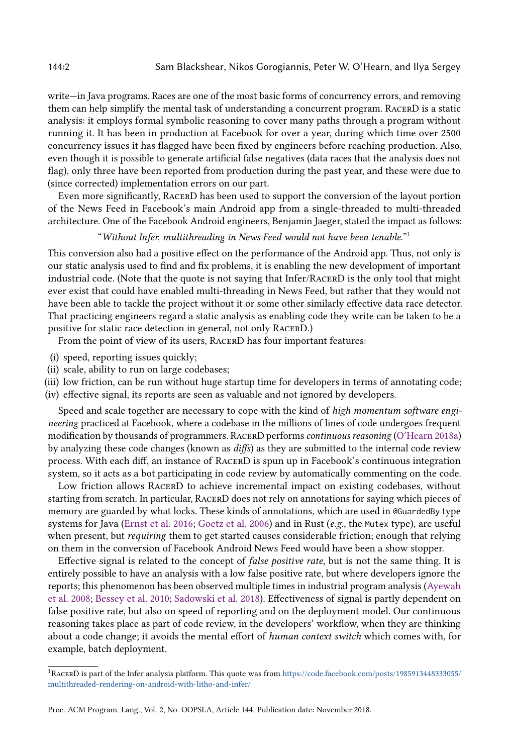write-in Java programs. Races are one of the most basic forms of concurrency errors, and removing them can help simplify the mental task of understanding a concurrent program. RacerD is a static analysis: it employs formal symbolic reasoning to cover many paths through a program without running it. It has been in production at Facebook for over a year, during which time over 2500 concurrency issues it has flagged have been fixed by engineers before reaching production. Also, even though it is possible to generate artificial false negatives (data races that the analysis does not flag), only three have been reported from production during the past year, and these were due to (since corrected) implementation errors on our part.

Even more significantly, RacerD has been used to support the conversion of the layout portion of the News Feed in Facebook's main Android app from a single-threaded to multi-threaded architecture. One of the Facebook Android engineers, Benjamin Jaeger, stated the impact as follows:

# "Without Infer, multithreading in News Feed would not have been tenable." $^1$  $^1$

This conversion also had a positive effect on the performance of the Android app. Thus, not only is our static analysis used to find and fix problems, it is enabling the new development of important industrial code. (Note that the quote is not saying that Infer/RacerD is the only tool that might ever exist that could have enabled multi-threading in News Feed, but rather that they would not have been able to tackle the project without it or some other similarly effective data race detector. That practicing engineers regard a static analysis as enabling code they write can be taken to be a positive for static race detection in general, not only RacerD.)

From the point of view of its users, RacerD has four important features:

- (i) speed, reporting issues quickly;
- (ii) scale, ability to run on large codebases;
- (iii) low friction, can be run without huge startup time for developers in terms of annotating code;
- (iv) effective signal, its reports are seen as valuable and not ignored by developers.

Speed and scale together are necessary to cope with the kind of high momentum software engineering practiced at Facebook, where a codebase in the millions of lines of code undergoes frequent modification by thousands of programmers. RacerD performs continuous reasoning [\(O'Hearn 2018a\)](#page-27-1) by analyzing these code changes (known as  $diffs$ ) as they are submitted to the internal code review process. With each diff, an instance of RacerD is spun up in Facebook's continuous integration system, so it acts as a bot participating in code review by automatically commenting on the code.

Low friction allows RacerD to achieve incremental impact on existing codebases, without starting from scratch. In particular, RacerD does not rely on annotations for saying which pieces of memory are guarded by what locks. These kinds of annotations, which are used in @GuardedBy type systems for Java [\(Ernst et al.](#page-26-0) [2016;](#page-26-0) [Goetz et al.](#page-26-1) [2006\)](#page-26-1) and in Rust (e.g., the Mutex type), are useful when present, but *requiring* them to get started causes considerable friction; enough that relying on them in the conversion of Facebook Android News Feed would have been a show stopper.

Effective signal is related to the concept of *false positive rate*, but is not the same thing. It is entirely possible to have an analysis with a low false positive rate, but where developers ignore the reports; this phenomenon has been observed multiple times in industrial program analysis [\(Ayewah](#page-26-2) [et al.](#page-26-2) [2008;](#page-26-2) [Bessey et al.](#page-26-3) [2010;](#page-26-3) [Sadowski et al.](#page-27-2) [2018\)](#page-27-2). Effectiveness of signal is partly dependent on false positive rate, but also on speed of reporting and on the deployment model. Our continuous reasoning takes place as part of code review, in the developers' workflow, when they are thinking about a code change; it avoids the mental effort of human context switch which comes with, for example, batch deployment.

<span id="page-1-0"></span><sup>1</sup>RacerD is part of the Infer analysis platform. This quote was from [https://code.facebook.com/posts/1985913448333055/](https://code.facebook.com/posts/1985913448333055/multithreaded-rendering-on-android-with-litho-and-infer/) [multithreaded-rendering-on-android-with-litho-and-infer/](https://code.facebook.com/posts/1985913448333055/multithreaded-rendering-on-android-with-litho-and-infer/)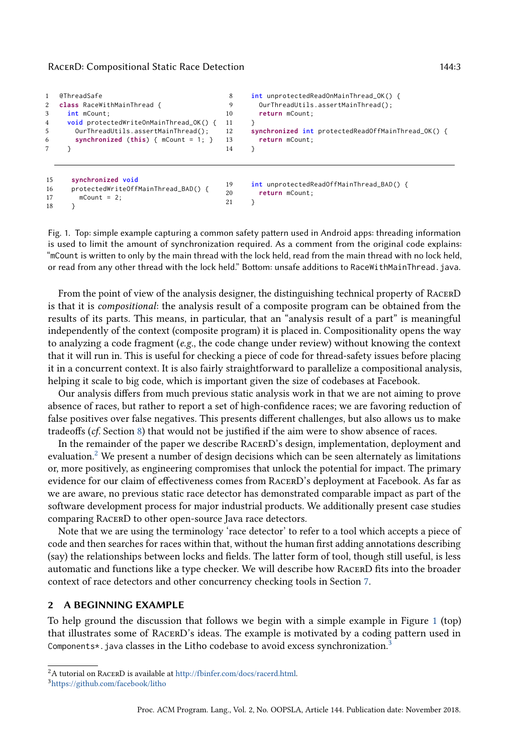<span id="page-2-1"></span>

| 1<br>$\mathbf{2}$<br>3<br>4<br>5<br>6<br>7 | @ThreadSafe<br>class RaceWithMainThread {<br>int mCount:<br>void protectedWriteOnMainThread_OK() {<br>OurThreadUtils.assertMainThread():<br>synchronized (this) { $mCount = 1$ ; } | 8<br>9<br>10<br>11<br>12<br>13<br>14 | <b>int</b> unprotectedReadOnMainThread_OK() {<br>OurThreadUtils.assertMainThread();<br>return mCount:<br>synchronized int protectedReadOffMainThread_OK() {<br>return mCount; |
|--------------------------------------------|------------------------------------------------------------------------------------------------------------------------------------------------------------------------------------|--------------------------------------|-------------------------------------------------------------------------------------------------------------------------------------------------------------------------------|
| 15<br>16<br>17<br>18                       | synchronized void<br>protectedWriteOffMainThread BAD() {<br>$mCount = 2$ :                                                                                                         | 19<br>20<br>21                       | int unprotectedReadOffMainThread_BAD() {<br>return mCount:                                                                                                                    |

Fig. 1. Top: simple example capturing a common safety pattern used in Android apps: threading information is used to limit the amount of synchronization required. As a comment from the original code explains: "mCount is written to only by the main thread with the lock held, read from the main thread with no lock held, or read from any other thread with the lock held.ž Bottom: unsafe additions to RaceWithMainThread.java.

From the point of view of the analysis designer, the distinguishing technical property of RACERD is that it is compositional: the analysis result of a composite program can be obtained from the results of its parts. This means, in particular, that an "analysis result of a part" is meaningful independently of the context (composite program) it is placed in. Compositionality opens the way to analyzing a code fragment (e.g., the code change under review) without knowing the context that it will run in. This is useful for checking a piece of code for thread-safety issues before placing it in a concurrent context. It is also fairly straightforward to parallelize a compositional analysis, helping it scale to big code, which is important given the size of codebases at Facebook.

Our analysis differs from much previous static analysis work in that we are not aiming to prove absence of races, but rather to report a set of high-confidence races; we are favoring reduction of false positives over false negatives. This presents different challenges, but also allows us to make tradeoffs (cf. Section [8\)](#page-24-0) that would not be justified if the aim were to show absence of races.

In the remainder of the paper we describe RacerD's design, implementation, deployment and evaluation.<sup>[2](#page-2-0)</sup> We present a number of design decisions which can be seen alternately as limitations or, more positively, as engineering compromises that unlock the potential for impact. The primary evidence for our claim of effectiveness comes from RacerD's deployment at Facebook. As far as we are aware, no previous static race detector has demonstrated comparable impact as part of the software development process for major industrial products. We additionally present case studies comparing RacerD to other open-source Java race detectors.

Note that we are using the terminology 'race detector' to refer to a tool which accepts a piece of code and then searches for races within that, without the human first adding annotations describing (say) the relationships between locks and fields. The latter form of tool, though still useful, is less automatic and functions like a type checker. We will describe how RacerD fits into the broader context of race detectors and other concurrency checking tools in Section [7.](#page-22-0)

#### 2 A BEGINNING EXAMPLE

To help ground the discussion that follows we begin with a simple example in Figure [1](#page-2-1) (top) that illustrates some of RacerD's ideas. The example is motivated by a coding pattern used in Components\*.java classes in the Litho codebase to avoid excess synchronization.<sup>[3](#page-2-2)</sup>

<span id="page-2-0"></span> $^2\mbox{A}$  tutorial on RACERD is available at [http://fbinfer.com/docs/racerd.html.](http://fbinfer.com/docs/racerd.html)

<span id="page-2-2"></span><sup>3</sup><https://github.com/facebook/litho>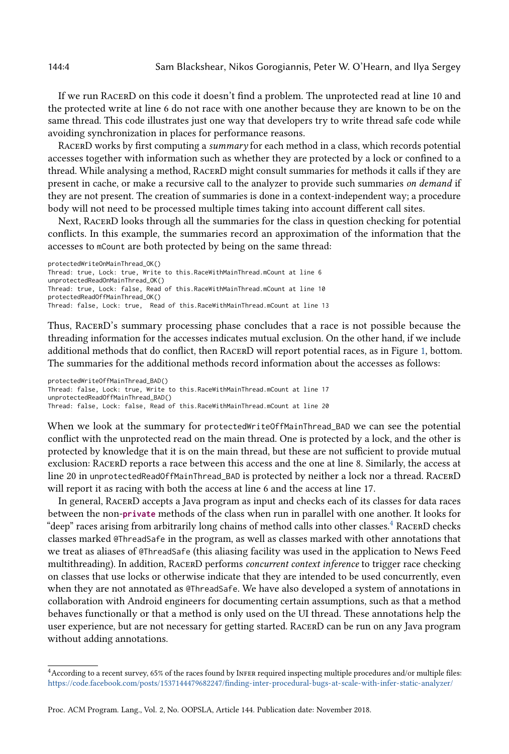If we run RacerD on this code it doesn't find a problem. The unprotected read at line 10 and the protected write at line 6 do not race with one another because they are known to be on the same thread. This code illustrates just one way that developers try to write thread safe code while avoiding synchronization in places for performance reasons.

RacerD works by first computing a summary for each method in a class, which records potential accesses together with information such as whether they are protected by a lock or confined to a thread. While analysing a method, RacerD might consult summaries for methods it calls if they are present in cache, or make a recursive call to the analyzer to provide such summaries on demand if they are not present. The creation of summaries is done in a context-independent way; a procedure body will not need to be processed multiple times taking into account different call sites.

Next, RACERD looks through all the summaries for the class in question checking for potential conflicts. In this example, the summaries record an approximation of the information that the accesses to mCount are both protected by being on the same thread:

protectedWriteOnMainThread\_OK() Thread: true, Lock: true, Write to this.RaceWithMainThread.mCount at line 6 unprotectedReadOnMainThread OK() Thread: true, Lock: false, Read of this.RaceWithMainThread.mCount at line 10 protectedReadOffMainThread\_OK() Thread: false, Lock: true, Read of this.RaceWithMainThread.mCount at line 13

Thus, RacerD's summary processing phase concludes that a race is not possible because the threading information for the accesses indicates mutual exclusion. On the other hand, if we include additional methods that do conflict, then RacerD will report potential races, as in Figure [1,](#page-2-1) bottom. The summaries for the additional methods record information about the accesses as follows:

protectedWriteOffMainThread\_BAD() Thread: false, Lock: true, Write to this.RaceWithMainThread.mCount at line 17 unprotectedReadOffMainThread\_BAD() Thread: false, Lock: false, Read of this.RaceWithMainThread.mCount at line 20

When we look at the summary for protectedWriteOffMainThread\_BAD we can see the potential conflict with the unprotected read on the main thread. One is protected by a lock, and the other is protected by knowledge that it is on the main thread, but these are not sufficient to provide mutual exclusion: RacerD reports a race between this access and the one at line 8. Similarly, the access at line 20 in unprotectedReadOffMainThread\_BAD is protected by neither a lock nor a thread. RACERD will report it as racing with both the access at line 6 and the access at line 17.

In general, RacerD accepts a Java program as input and checks each of its classes for data races between the non-**private** methods of the class when run in parallel with one another. It looks for łdeepž races arising from arbitrarily long chains of method calls into other classes.[4](#page-3-0) RacerD checks classes marked @ThreadSafe in the program, as well as classes marked with other annotations that we treat as aliases of @ThreadSafe (this aliasing facility was used in the application to News Feed multithreading). In addition, RacerD performs concurrent context inference to trigger race checking on classes that use locks or otherwise indicate that they are intended to be used concurrently, even when they are not annotated as @ThreadSafe. We have also developed a system of annotations in collaboration with Android engineers for documenting certain assumptions, such as that a method behaves functionally or that a method is only used on the UI thread. These annotations help the user experience, but are not necessary for getting started. RacerD can be run on any Java program without adding annotations.

<span id="page-3-0"></span><sup>4</sup>According to a recent survey, 65% of the races found by Infer required inspecting multiple procedures and/or multiple files: <https://code.facebook.com/posts/1537144479682247/finding-inter-procedural-bugs-at-scale-with-infer-static-analyzer/>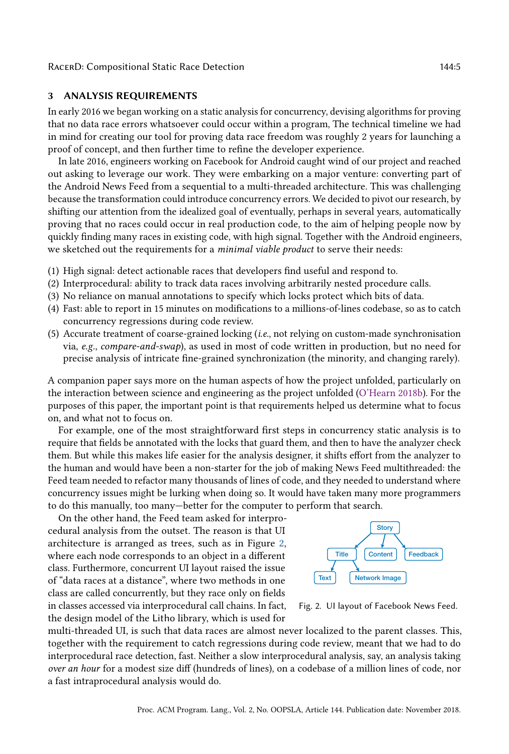# <span id="page-4-1"></span>3 ANALYSIS REQUIREMENTS

In early 2016 we began working on a static analysis for concurrency, devising algorithms for proving that no data race errors whatsoever could occur within a program, The technical timeline we had in mind for creating our tool for proving data race freedom was roughly 2 years for launching a proof of concept, and then further time to refine the developer experience.

In late 2016, engineers working on Facebook for Android caught wind of our project and reached out asking to leverage our work. They were embarking on a major venture: converting part of the Android News Feed from a sequential to a multi-threaded architecture. This was challenging because the transformation could introduce concurrency errors. We decided to pivot our research, by shifting our attention from the idealized goal of eventually, perhaps in several years, automatically proving that no races could occur in real production code, to the aim of helping people now by quickly finding many races in existing code, with high signal. Together with the Android engineers, we sketched out the requirements for a *minimal viable product* to serve their needs:

- (1) High signal: detect actionable races that developers find useful and respond to.
- (2) Interprocedural: ability to track data races involving arbitrarily nested procedure calls.
- (3) No reliance on manual annotations to specify which locks protect which bits of data.
- (4) Fast: able to report in 15 minutes on modifications to a millions-of-lines codebase, so as to catch concurrency regressions during code review.
- (5) Accurate treatment of coarse-grained locking (i.e., not relying on custom-made synchronisation via, e.g., compare-and-swap), as used in most of code written in production, but no need for precise analysis of intricate fine-grained synchronization (the minority, and changing rarely).

A companion paper says more on the human aspects of how the project unfolded, particularly on the interaction between science and engineering as the project unfolded [\(O'Hearn 2018b\)](#page-27-3). For the purposes of this paper, the important point is that requirements helped us determine what to focus on, and what not to focus on.

For example, one of the most straightforward first steps in concurrency static analysis is to require that fields be annotated with the locks that guard them, and then to have the analyzer check them. But while this makes life easier for the analysis designer, it shifts effort from the analyzer to the human and would have been a non-starter for the job of making News Feed multithreaded: the Feed team needed to refactor many thousands of lines of code, and they needed to understand where concurrency issues might be lurking when doing so. It would have taken many more programmers to do this manually, too many-better for the computer to perform that search.

On the other hand, the Feed team asked for interprocedural analysis from the outset. The reason is that UI architecture is arranged as trees, such as in Figure [2,](#page-4-0) where each node corresponds to an object in a different class. Furthermore, concurrent UI layout raised the issue of "data races at a distance", where two methods in one class are called concurrently, but they race only on fields in classes accessed via interprocedural call chains. In fact, the design model of the Litho library, which is used for

<span id="page-4-0"></span>

Fig. 2. UI layout of Facebook News Feed.

multi-threaded UI, is such that data races are almost never localized to the parent classes. This, together with the requirement to catch regressions during code review, meant that we had to do interprocedural race detection, fast. Neither a slow interprocedural analysis, say, an analysis taking over an hour for a modest size diff (hundreds of lines), on a codebase of a million lines of code, nor a fast intraprocedural analysis would do.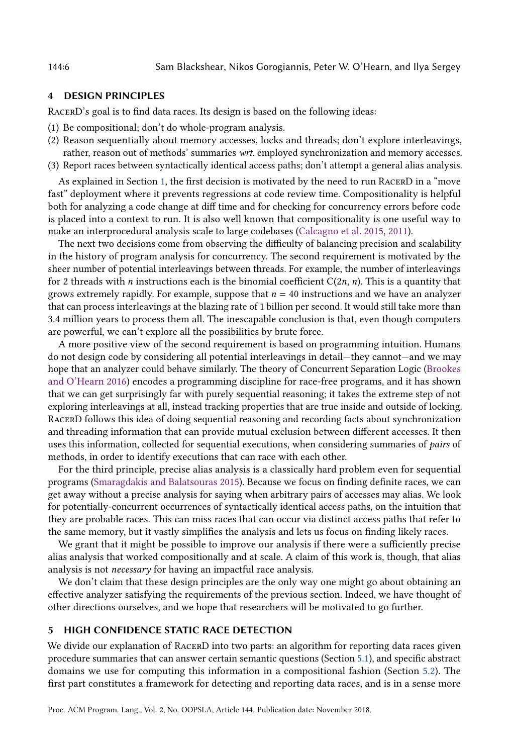# 4 DESIGN PRINCIPLES

RacerD's goal is to find data races. Its design is based on the following ideas:

- (1) Be compositional; don't do whole-program analysis.
- (2) Reason sequentially about memory accesses, locks and threads; don't explore interleavings, rather, reason out of methods' summaries wrt. employed synchronization and memory accesses.
- (3) Report races between syntactically identical access paths; don't attempt a general alias analysis.

As explained in Section [1,](#page-0-0) the first decision is motivated by the need to run RACERD in a "move fast" deployment where it prevents regressions at code review time. Compositionality is helpful both for analyzing a code change at diff time and for checking for concurrency errors before code is placed into a context to run. It is also well known that compositionality is one useful way to make an interprocedural analysis scale to large codebases [\(Calcagno et al. 2015,](#page-26-4) [2011\)](#page-26-5).

The next two decisions come from observing the difficulty of balancing precision and scalability in the history of program analysis for concurrency. The second requirement is motivated by the sheer number of potential interleavings between threads. For example, the number of interleavings for 2 threads with *n* instructions each is the binomial coefficient  $C(2n, n)$ . This is a quantity that grows extremely rapidly. For example, suppose that  $n = 40$  instructions and we have an analyzer that can process interleavings at the blazing rate of 1 billion per second. It would still take more than 3.4 million years to process them all. The inescapable conclusion is that, even though computers are powerful, we can't explore all the possibilities by brute force.

A more positive view of the second requirement is based on programming intuition. Humans do not design code by considering all potential interleavings in detail-they cannot—and we may hope that an analyzer could behave similarly. The theory of Concurrent Separation Logic [\(Brookes](#page-26-6) [and O'Hearn 2016\)](#page-26-6) encodes a programming discipline for race-free programs, and it has shown that we can get surprisingly far with purely sequential reasoning; it takes the extreme step of not exploring interleavings at all, instead tracking properties that are true inside and outside of locking. RacerD follows this idea of doing sequential reasoning and recording facts about synchronization and threading information that can provide mutual exclusion between different accesses. It then uses this information, collected for sequential executions, when considering summaries of pairs of methods, in order to identify executions that can race with each other.

For the third principle, precise alias analysis is a classically hard problem even for sequential programs [\(Smaragdakis and Balatsouras 2015\)](#page-27-4). Because we focus on finding definite races, we can get away without a precise analysis for saying when arbitrary pairs of accesses may alias. We look for potentially-concurrent occurrences of syntactically identical access paths, on the intuition that they are probable races. This can miss races that can occur via distinct access paths that refer to the same memory, but it vastly simplifies the analysis and lets us focus on finding likely races.

We grant that it might be possible to improve our analysis if there were a sufficiently precise alias analysis that worked compositionally and at scale. A claim of this work is, though, that alias analysis is not necessary for having an impactful race analysis.

We don't claim that these design principles are the only way one might go about obtaining an effective analyzer satisfying the requirements of the previous section. Indeed, we have thought of other directions ourselves, and we hope that researchers will be motivated to go further.

# 5 HIGH CONFIDENCE STATIC RACE DETECTION

We divide our explanation of RacerD into two parts: an algorithm for reporting data races given procedure summaries that can answer certain semantic questions (Section [5.1\)](#page-6-0), and specific abstract domains we use for computing this information in a compositional fashion (Section [5.2\)](#page-8-0). The first part constitutes a framework for detecting and reporting data races, and is in a sense more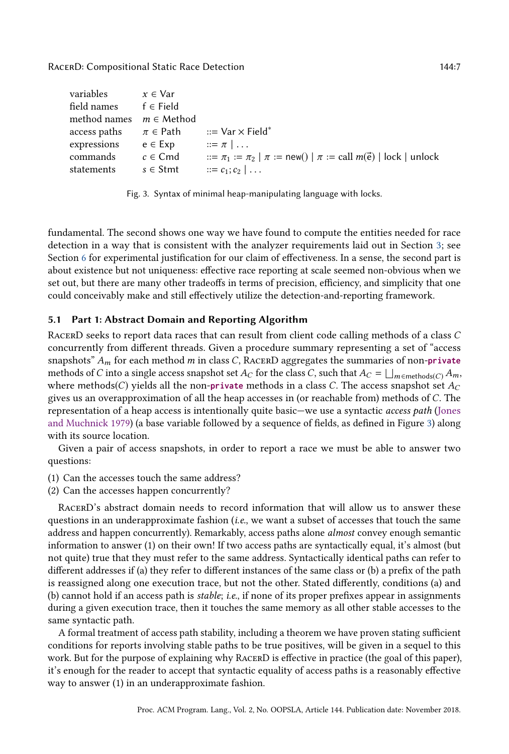<span id="page-6-1"></span>

| variables                   | $x \in \text{Var}$      |                                                                                                                                |
|-----------------------------|-------------------------|--------------------------------------------------------------------------------------------------------------------------------|
| field names                 | $f \in Field$           |                                                                                                                                |
| method names $m \in$ Method |                         |                                                                                                                                |
| access paths                | $\pi \in \mathsf{Path}$ | $::=$ Var $\times$ Field $^*$                                                                                                  |
| expressions                 | $e \in Exp$             | $\cdots = \pi \mid \ldots$                                                                                                     |
| commands                    | $c \in$ Cmd             | $\therefore = \pi_1 := \pi_2 \mid \pi := \text{new}() \mid \pi := \text{call } m(\vec{e}) \mid \text{lock} \mid \text{unlock}$ |
| statements                  | $s \in$ Stmt            | $::= c_1;c_2 \mid \ldots$                                                                                                      |

Fig. 3. Syntax of minimal heap-manipulating language with locks.

fundamental. The second shows one way we have found to compute the entities needed for race detection in a way that is consistent with the analyzer requirements laid out in Section [3;](#page-4-1) see Section [6](#page-14-0) for experimental justification for our claim of effectiveness. In a sense, the second part is about existence but not uniqueness: effective race reporting at scale seemed non-obvious when we set out, but there are many other tradeoffs in terms of precision, efficiency, and simplicity that one could conceivably make and still effectively utilize the detection-and-reporting framework.

# <span id="page-6-0"></span>5.1 Part 1: Abstract Domain and Reporting Algorithm

RacerD seeks to report data races that can result from client code calling methods of a class C concurrently from different threads. Given a procedure summary representing a set of "access" snapshots<sup>"</sup>  $A_m$  for each method m in class C, RACERD aggregates the summaries of non-private methods of C into a single access snapshot set  $A_C$  for the class C, such that  $A_C = \bigsqcup_{m \in \text{methods}(C)} A_m$ , where methods(C) yields all the non-private methods in a class C. The access snapshot set  $A_C$ gives us an overapproximation of all the heap accesses in (or reachable from) methods of C. The representation of a heap access is intentionally quite basic—we use a syntactic *access path* [\(Jones](#page-26-7) [and Muchnick 1979\)](#page-26-7) (a base variable followed by a sequence of fields, as defined in Figure [3\)](#page-6-1) along with its source location.

Given a pair of access snapshots, in order to report a race we must be able to answer two questions:

- (1) Can the accesses touch the same address?
- (2) Can the accesses happen concurrently?

RacerD's abstract domain needs to record information that will allow us to answer these questions in an underapproximate fashion (*i.e.*, we want a subset of accesses that touch the same address and happen concurrently). Remarkably, access paths alone almost convey enough semantic information to answer (1) on their own! If two access paths are syntactically equal, it's almost (but not quite) true that they must refer to the same address. Syntactically identical paths can refer to different addresses if (a) they refer to different instances of the same class or (b) a prefix of the path is reassigned along one execution trace, but not the other. Stated differently, conditions (a) and (b) cannot hold if an access path is stable; i.e., if none of its proper prefixes appear in assignments during a given execution trace, then it touches the same memory as all other stable accesses to the same syntactic path.

A formal treatment of access path stability, including a theorem we have proven stating sufficient conditions for reports involving stable paths to be true positives, will be given in a sequel to this work. But for the purpose of explaining why RacerD is effective in practice (the goal of this paper), it's enough for the reader to accept that syntactic equality of access paths is a reasonably effective way to answer (1) in an underapproximate fashion.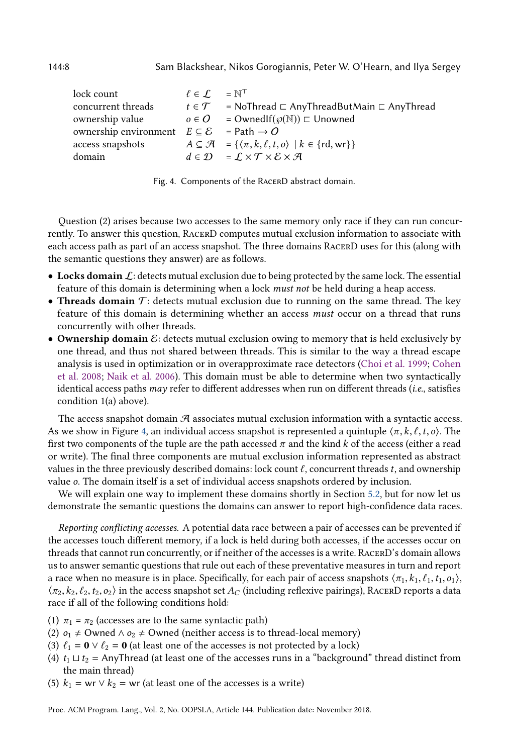lock count  $\ell \in \mathcal{L}$  $= N^{\top}$ concurrent threads  $t \in \mathcal{T}$  = NoThread  $\Box$  AnyThreadButMain  $\Box$  AnyThread ownership value  $o \in O$  = OwnedIf( $\mathcal{P}(\mathbb{N}) \subset \mathbb{U}$ nowned ownership environment  $E \subseteq \mathcal{E}$  = Path  $\rightarrow O$ access snapshots  $A \subseteq \mathcal{A} = \{ \langle \pi, k, \ell, t, o \rangle \mid k \in \{ \text{rd}, \text{wr} \} \}$ domain  $d \in \mathcal{D} = \mathcal{L} \times \mathcal{T} \times \mathcal{E} \times \mathcal{A}$ 



Question (2) arises because two accesses to the same memory only race if they can run concurrently. To answer this question, RACERD computes mutual exclusion information to associate with each access path as part of an access snapshot. The three domains RacerD uses for this (along with the semantic questions they answer) are as follows.

- Locks domain  $\mathcal{L}$ : detects mutual exclusion due to being protected by the same lock. The essential feature of this domain is determining when a lock *must not* be held during a heap access.
- Threads domain  $\mathcal{T}$ : detects mutual exclusion due to running on the same thread. The key feature of this domain is determining whether an access must occur on a thread that runs concurrently with other threads.
- Ownership domain  $\mathcal{E}$ : detects mutual exclusion owing to memory that is held exclusively by one thread, and thus not shared between threads. This is similar to the way a thread escape analysis is used in optimization or in overapproximate race detectors [\(Choi et al.](#page-26-8) [1999;](#page-26-8) [Cohen](#page-26-9) [et al.](#page-26-9) [2008;](#page-26-9) [Naik et al.](#page-27-5) [2006\)](#page-27-5). This domain must be able to determine when two syntactically identical access paths  $may$  refer to different addresses when run on different threads (i.e., satisfies condition 1(a) above).

The access snapshot domain  $\mathcal A$  associates mutual exclusion information with a syntactic access. As we show in Figure [4,](#page-7-0) an individual access snapshot is represented a quintuple  $\langle \pi, k, \ell, t, o \rangle$ . The first two components of the tuple are the path accessed  $\pi$  and the kind k of the access (either a read or write). The final three components are mutual exclusion information represented as abstract values in the three previously described domains: lock count  $\ell$ , concurrent threads  $t$ , and ownership value o. The domain itself is a set of individual access snapshots ordered by inclusion.

We will explain one way to implement these domains shortly in Section [5.2,](#page-8-0) but for now let us demonstrate the semantic questions the domains can answer to report high-confidence data races.

Reporting conflicting accesses. A potential data race between a pair of accesses can be prevented if the accesses touch different memory, if a lock is held during both accesses, if the accesses occur on threads that cannot run concurrently, or if neither of the accesses is a write. RacerD's domain allows us to answer semantic questions that rule out each of these preventative measures in turn and report a race when no measure is in place. Specifically, for each pair of access snapshots  $\langle \pi_1, k_1, \ell_1, t_1, o_1 \rangle$ ,  $\langle \pi_2, k_2, \ell_2, t_2, \sigma_2 \rangle$  in the access snapshot set  $A_C$  (including reflexive pairings), RACERD reports a data race if all of the following conditions hold:

- (1)  $\pi_1 = \pi_2$  (accesses are to the same syntactic path)
- (2)  $o_1 \neq$  Owned  $\land o_2 \neq$  Owned (neither access is to thread-local memory)
- (3)  $\ell_1 = \mathbf{0} \vee \ell_2 = \mathbf{0}$  (at least one of the accesses is not protected by a lock)
- (4)  $t_1 ⊔ t_2$  = AnyThread (at least one of the accesses runs in a "background" thread distinct from the main thread)
- (5)  $k_1$  = wr  $\vee$   $k_2$  = wr (at least one of the accesses is a write)

Proc. ACM Program. Lang., Vol. 2, No. OOPSLA, Article 144. Publication date: November 2018.

<span id="page-7-0"></span>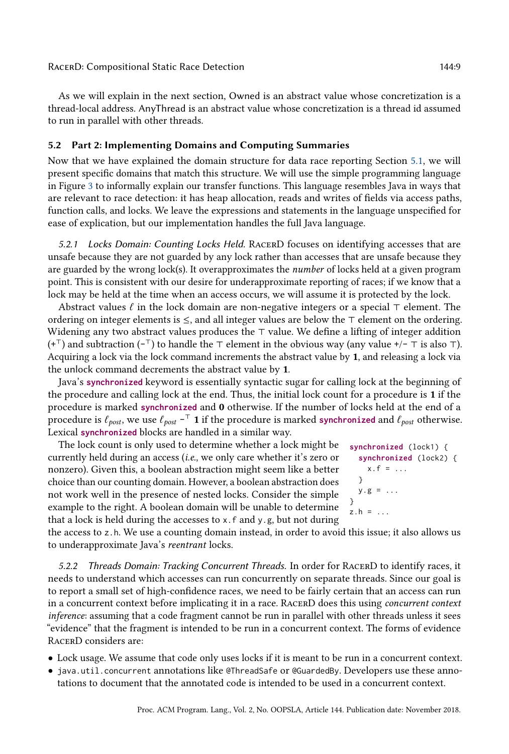As we will explain in the next section, Owned is an abstract value whose concretization is a thread-local address. AnyThread is an abstract value whose concretization is a thread id assumed to run in parallel with other threads.

#### <span id="page-8-0"></span>5.2 Part 2: Implementing Domains and Computing Summaries

Now that we have explained the domain structure for data race reporting Section [5.1,](#page-6-0) we will present specific domains that match this structure. We will use the simple programming language in Figure [3](#page-6-1) to informally explain our transfer functions. This language resembles Java in ways that are relevant to race detection: it has heap allocation, reads and writes of fields via access paths, function calls, and locks. We leave the expressions and statements in the language unspecified for ease of explication, but our implementation handles the full Java language.

*5.2.1 Locks Domain: Counting Locks Held.* RacerD focuses on identifying accesses that are unsafe because they are not guarded by any lock rather than accesses that are unsafe because they are guarded by the wrong lock(s). It overapproximates the number of locks held at a given program point. This is consistent with our desire for underapproximate reporting of races; if we know that a lock may be held at the time when an access occurs, we will assume it is protected by the lock.

Abstract values  $\ell$  in the lock domain are non-negative integers or a special ⊤ element. The ordering on integer elements is ≤, and all integer values are below the ⊤ element on the ordering. Widening any two abstract values produces the ⊤ value. We define a lifting of integer addition  $(+^{\top})$  and subtraction  $(-^{\top})$  to handle the ⊤ element in the obvious way (any value +/- ⊤ is also ⊤). Acquiring a lock via the lock command increments the abstract value by 1, and releasing a lock via the unlock command decrements the abstract value by 1.

Java's **synchronized** keyword is essentially syntactic sugar for calling lock at the beginning of the procedure and calling lock at the end. Thus, the initial lock count for a procedure is 1 if the procedure is marked **synchronized** and 0 otherwise. If the number of locks held at the end of a procedure is  $\ell_{post}$ , we use  $\ell_{post}$  -  $^{\top}$  1 if the procedure is marked synchronized and  $\ell_{post}$  otherwise. Lexical **synchronized** blocks are handled in a similar way.

The lock count is only used to determine whether a lock might be currently held during an access (i.e., we only care whether it's zero or nonzero). Given this, a boolean abstraction might seem like a better choice than our counting domain. However, a boolean abstraction does not work well in the presence of nested locks. Consider the simple example to the right. A boolean domain will be unable to determine that a lock is held during the accesses to  $x$ . f and  $y$ .g, but not during

```
synchronized (lock1) {
  synchronized (lock2) {
    x.f = . . .}
  y.g = . . .}
z.h = ...
```
the access to z.h. We use a counting domain instead, in order to avoid this issue; it also allows us to underapproximate Java's reentrant locks.

<span id="page-8-1"></span>*5.2.2 Threads Domain: Tracking Concurrent Threads.* In order for RacerD to identify races, it needs to understand which accesses can run concurrently on separate threads. Since our goal is to report a small set of high-confidence races, we need to be fairly certain that an access can run in a concurrent context before implicating it in a race. RACERD does this using *concurrent context* inference: assuming that a code fragment cannot be run in parallel with other threads unless it sees łevidencež that the fragment is intended to be run in a concurrent context. The forms of evidence RacerD considers are:

- Lock usage. We assume that code only uses locks if it is meant to be run in a concurrent context.
- java.util.concurrent annotations like @ThreadSafe or @GuardedBy. Developers use these annotations to document that the annotated code is intended to be used in a concurrent context.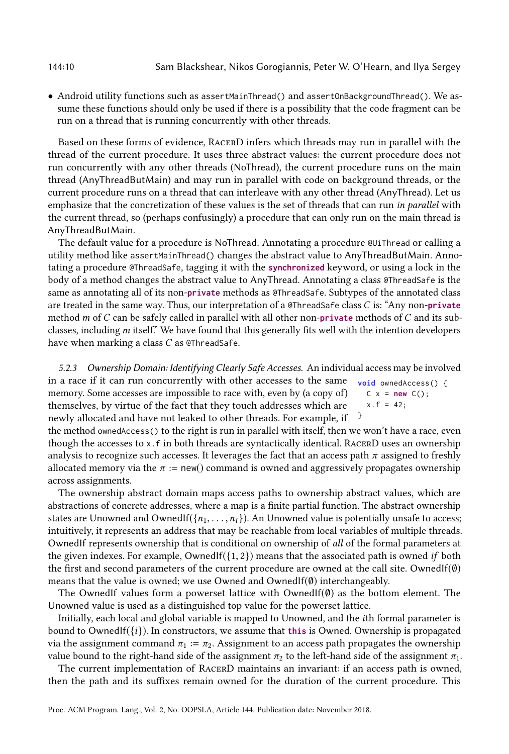• Android utility functions such as assertMainThread() and assertOnBackgroundThread(). We assume these functions should only be used if there is a possibility that the code fragment can be run on a thread that is running concurrently with other threads.

Based on these forms of evidence, RacerD infers which threads may run in parallel with the thread of the current procedure. It uses three abstract values: the current procedure does not run concurrently with any other threads (NoThread), the current procedure runs on the main thread (AnyThreadButMain) and may run in parallel with code on background threads, or the current procedure runs on a thread that can interleave with any other thread (AnyThread). Let us emphasize that the concretization of these values is the set of threads that can run in parallel with the current thread, so (perhaps confusingly) a procedure that can only run on the main thread is AnyThreadButMain.

The default value for a procedure is NoThread. Annotating a procedure @UiThread or calling a utility method like assertMainThread() changes the abstract value to AnyThreadButMain. Annotating a procedure @ThreadSafe, tagging it with the **synchronized** keyword, or using a lock in the body of a method changes the abstract value to AnyThread. Annotating a class @ThreadSafe is the same as annotating all of its non-**private** methods as @ThreadSafe. Subtypes of the annotated class are treated in the same way. Thus, our interpretation of a @ThreadSafe class C is: "Any non-private method m of C can be safely called in parallel with all other non-**private** methods of C and its subclasses, including  $m$  itself." We have found that this generally fits well with the intention developers have when marking a class C as @ThreadSafe.

<span id="page-9-0"></span>*5.2.3 Ownership Domain: Identifying Clearly Safe Accesses.* An individual access may be involved **void** ownedAccess() {  $C \times = new C()$ ;  $x.f = 42;$ } in a race if it can run concurrently with other accesses to the same memory. Some accesses are impossible to race with, even by (a copy of) themselves, by virtue of the fact that they touch addresses which are newly allocated and have not leaked to other threads. For example, if

the method ownedAccess() to the right is run in parallel with itself, then we won't have a race, even though the accesses to x.f in both threads are syntactically identical. RacerD uses an ownership analysis to recognize such accesses. It leverages the fact that an access path  $\pi$  assigned to freshly allocated memory via the  $\pi$  := new() command is owned and aggressively propagates ownership across assignments.

The ownership abstract domain maps access paths to ownership abstract values, which are abstractions of concrete addresses, where a map is a finite partial function. The abstract ownership states are Unowned and OwnedIf( $\{n_1, \ldots, n_i\}$ ). An Unowned value is potentially unsafe to access; intuitively, it represents an address that may be reachable from local variables of multiple threads. OwnedIf represents ownership that is conditional on ownership of all of the formal parameters at the given indexes. For example, OwnedIf( $\{(1, 2)\}$ ) means that the associated path is owned if both the first and second parameters of the current procedure are owned at the call site. OwnedIf(∅) means that the value is owned; we use Owned and OwnedIf(0) interchangeably.

The OwnedIf values form a powerset lattice with OwnedIf $(\emptyset)$  as the bottom element. The Unowned value is used as a distinguished top value for the powerset lattice.

Initially, each local and global variable is mapped to Unowned, and the ith formal parameter is bound to OwnedIf( $\{i\}$ ). In constructors, we assume that this is Owned. Ownership is propagated via the assignment command  $\pi_1 := \pi_2$ . Assignment to an access path propagates the ownership value bound to the right-hand side of the assignment  $\pi_2$  to the left-hand side of the assignment  $\pi_1$ .

The current implementation of RacerD maintains an invariant: if an access path is owned, then the path and its suffixes remain owned for the duration of the current procedure. This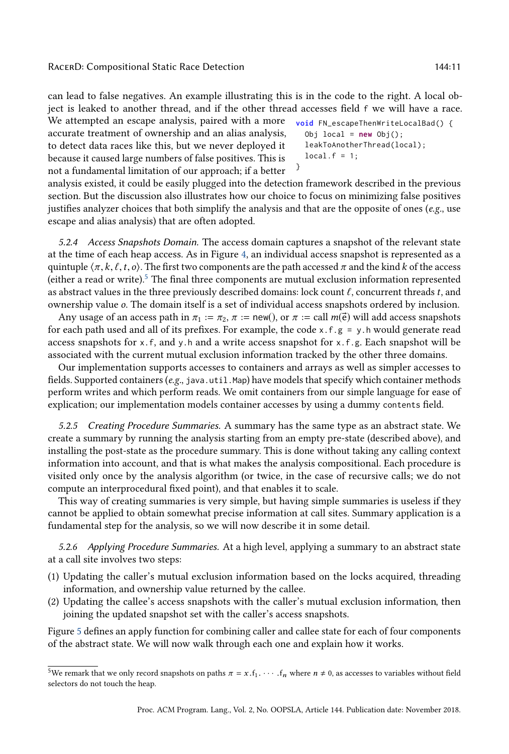can lead to false negatives. An example illustrating this is in the code to the right. A local object is leaked to another thread, and if the other thread accesses field f we will have a race.

We attempted an escape analysis, paired with a more accurate treatment of ownership and an alias analysis, to detect data races like this, but we never deployed it because it caused large numbers of false positives. This is not a fundamental limitation of our approach; if a better

**void** FN\_escapeThenWriteLocalBad() { Obj local = **new** Obj(); leakToAnotherThread(local);  $local.f = 1;$ 

analysis existed, it could be easily plugged into the detection framework described in the previous section. But the discussion also illustrates how our choice to focus on minimizing false positives justifies analyzer choices that both simplify the analysis and that are the opposite of ones ( $e.g.,$  use escape and alias analysis) that are often adopted.

}

<span id="page-10-1"></span>*5.2.4 Access Snapshots Domain.* The access domain captures a snapshot of the relevant state at the time of each heap access. As in Figure [4,](#page-7-0) an individual access snapshot is represented as a quintuple  $\langle \pi, k, \ell, t, \rho \rangle$ . The first two components are the path accessed  $\pi$  and the kind k of the access (either a read or write).[5](#page-10-0) The final three components are mutual exclusion information represented as abstract values in the three previously described domains: lock count  $\ell$ , concurrent threads  $t$ , and ownership value o. The domain itself is a set of individual access snapshots ordered by inclusion.

Any usage of an access path in  $\pi_1 := \pi_2$ ,  $\pi := new($ , or  $\pi := call \, m(\vec{e})$  will add access snapshots for each path used and all of its prefixes. For example, the code  $x.f.g = y.h$  would generate read access snapshots for x.f, and y.h and a write access snapshot for x.f.g. Each snapshot will be associated with the current mutual exclusion information tracked by the other three domains.

Our implementation supports accesses to containers and arrays as well as simpler accesses to fields. Supported containers (e.g., java.util.Map) have models that specify which container methods perform writes and which perform reads. We omit containers from our simple language for ease of explication; our implementation models container accesses by using a dummy contents field.

*5.2.5 Creating Procedure Summaries.* A summary has the same type as an abstract state. We create a summary by running the analysis starting from an empty pre-state (described above), and installing the post-state as the procedure summary. This is done without taking any calling context information into account, and that is what makes the analysis compositional. Each procedure is visited only once by the analysis algorithm (or twice, in the case of recursive calls; we do not compute an interprocedural fixed point), and that enables it to scale.

This way of creating summaries is very simple, but having simple summaries is useless if they cannot be applied to obtain somewhat precise information at call sites. Summary application is a fundamental step for the analysis, so we will now describe it in some detail.

*5.2.6 Applying Procedure Summaries.* At a high level, applying a summary to an abstract state at a call site involves two steps:

- (1) Updating the caller's mutual exclusion information based on the locks acquired, threading information, and ownership value returned by the callee.
- (2) Updating the callee's access snapshots with the caller's mutual exclusion information, then joining the updated snapshot set with the caller's access snapshots.

Figure [5](#page-11-0) defines an apply function for combining caller and callee state for each of four components of the abstract state. We will now walk through each one and explain how it works.

<span id="page-10-0"></span><sup>&</sup>lt;sup>5</sup>We remark that we only record snapshots on paths  $\pi = x.f_1 \cdots .f_n$  where  $n \neq 0$ , as accesses to variables without field selectors do not touch the heap.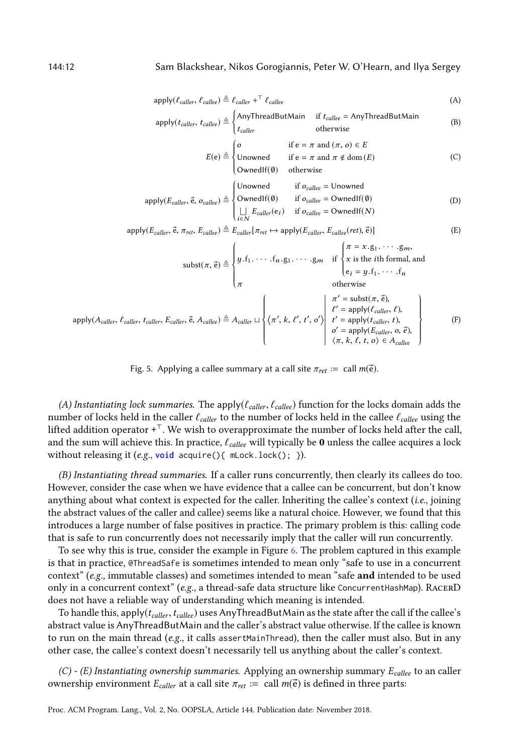<span id="page-11-0"></span>
$$
apply(\ell_{\text{caller}}, \ell_{\text{callee}}) \triangleq \ell_{\text{caller}} + \mathcal{F}_{\text{callee}} \tag{A}
$$

apply(
$$
t_{\text{caller}}
$$
,  $t_{\text{callee}} \triangleq \begin{cases} \text{AnyThreadButMain} & \text{if } t_{\text{callee}} = \text{AnyThreadButMain} \\ t_{\text{caller}} & \text{otherwise} \end{cases}$  (B)

$$
E(e) \triangleq \begin{cases} o & \text{if } e = \pi \text{ and } (\pi, o) \in E \\ \text{Unowned} & \text{if } e = \pi \text{ and } \pi \notin \text{dom}(E) \\ \text{Owned} & \text{otherwise} \end{cases} \tag{C}
$$

$$
apply(E_{\text{caller}}, \vec{e}, o_{\text{callee}}) \triangleq\n\begin{cases}\n\text{Unowned} & \text{if } o_{\text{callee}} = \text{Unowned} \\
\text{OwnedIf}(\emptyset) & \text{if } o_{\text{callee}} = \text{OwnedIf}(\emptyset) \\
\qquad \qquad \qquad \bigcup_{i \in N} E_{\text{caller}}(\mathbf{e}_i) & \text{if } o_{\text{callee}} = \text{OwnedIf}(N)\n\end{cases}\n\tag{D}
$$

$$
\text{apply}(E_{\text{caller}}, \vec{e}, \pi_{\text{ret}}, E_{\text{caller}}) \triangleq E_{\text{caller}}[\pi_{\text{ret}} \mapsto \text{apply}(E_{\text{caller}}, E_{\text{caller}}(\text{ret}), \vec{e})]
$$
(E)

$$
\text{subst}(\pi, \vec{e}) \triangleq \begin{cases} y.f_1. \cdots .f_n.g_1. \cdots .g_m & \text{if } \begin{cases} \pi = x.g_1. \cdots .g_m, \\ x \text{ is the } i\text{th formal, and} \\ e_i = y.f_1. \cdots .f_n \\ \text{otherwise} \end{cases} \\ \text{apply}(A_{\text{caller}}, \ell_{\text{caller}}, t_{\text{caller}}, E_{\text{caller}}, \vec{e}, A_{\text{caller}}) \triangleq A_{\text{caller}} \sqcup \begin{cases} \pi', k, \ell', t', o' \\ \pi', k, \ell', t', o' \end{cases} \begin{cases} \pi' = \text{subst}(\pi, \vec{e}), \\ \ell' = \text{apply}(\ell_{\text{caller}}, t), \\ o' = \text{apply}(\ell_{\text{caller}}, t), \\ o' = \text{apply}(\ell_{\text{caller}}, o, \vec{e}), \\ \langle \pi, k, \ell, t, o \rangle \in A_{\text{caller}} \end{cases} \end{cases} \tag{F}
$$

Fig. 5. Applying a callee summary at a call site  $\pi_{ret} := \text{call } m(\vec{e})$ .

(A) Instantiating lock summaries. The apply( $\ell_{\textit{caller}}, \ell_{\textit{callee}}$ ) function for the locks domain adds the number of locks held in the caller  $\ell_{\textit{caller}}$  to the number of locks held in the callee  $\ell_{\textit{callee}}$  using the lifted addition operator + $\bar{\ }$ . We wish to overapproximate the number of locks held after the call, and the sum will achieve this. In practice,  $\ell_{\text{callee}}$  will typically be 0 unless the callee acquires a lock without releasing it (e.g., **void** acquire(){ mLock.lock(); }).

(B) Instantiating thread summaries. If a caller runs concurrently, then clearly its callees do too. However, consider the case when we have evidence that a callee can be concurrent, but don't know anything about what context is expected for the caller. Inheriting the callee's context (i.e., joining the abstract values of the caller and callee) seems like a natural choice. However, we found that this introduces a large number of false positives in practice. The primary problem is this: calling code that is safe to run concurrently does not necessarily imply that the caller will run concurrently.

To see why this is true, consider the example in Figure [6.](#page-12-0) The problem captured in this example is that in practice, @ThreadSafe is sometimes intended to mean only "safe to use in a concurrent context" ( $e.g.,$  immutable classes) and sometimes intended to mean "safe and intended to be used only in a concurrent context" (e.g., a thread-safe data structure like ConcurrentHashMap). RACERD does not have a reliable way of understanding which meaning is intended.

To handle this, apply( $t_{\text{caller}}, t_{\text{callee}}$ ) uses AnyThreadButMain as the state after the call if the callee's abstract value is AnyThreadButMain and the caller's abstract value otherwise. If the callee is known to run on the main thread (e.g., it calls assertMainThread), then the caller must also. But in any other case, the callee's context doesn't necessarily tell us anything about the caller's context.

(C) - (E) Instantiating ownership summaries. Applying an ownership summary  $E_{\text{callee}}$  to an caller ownership environment  $E_{\text{caller}}$  at a call site  $\pi_{\text{ret}} := \text{call } m(\vec{e})$  is defined in three parts: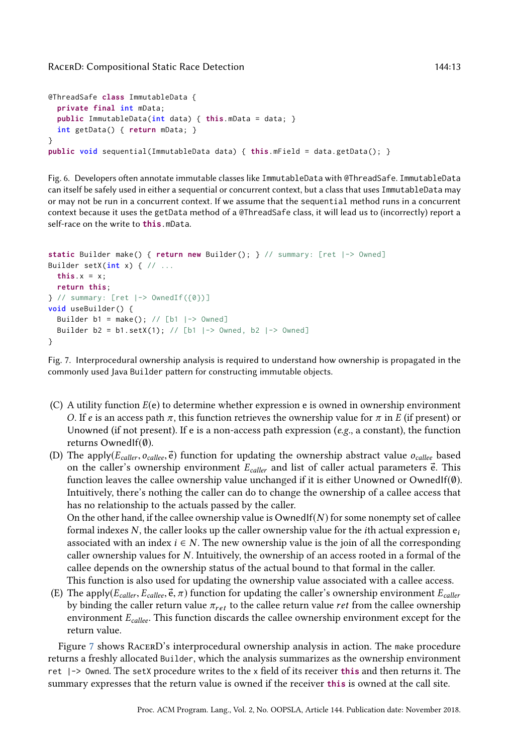```
@ThreadSafe class ImmutableData {
 private final int mData;
 public ImmutableData(int data) { this.mData = data; }
  int getData() { return mData; }
}
public void sequential(ImmutableData data) { this.mField = data.getData(); }
```
Fig. 6. Developers often annotate immutable classes like ImmutableData with @ThreadSafe. ImmutableData can itself be safely used in either a sequential or concurrent context, but a class that uses ImmutableData may or may not be run in a concurrent context. If we assume that the sequential method runs in a concurrent context because it uses the getData method of a @ThreadSafe class, it will lead us to (incorrectly) report a self-race on the write to **this**.mData.

```
static Builder make() { return new Builder(); } // summary: [ret |-> Owned]
Builder setX(int x) { // ...
 this.x = x;
 return this;
} // summary: [ret |-> OwnedIf({0})]
void useBuilder() {
 Builder b1 = make(); // [b1 |-> Owned]
 Builder b2 = b1.setX(1); // [b1 | -> Owned, b2 | -> Owned]
}
```
Fig. 7. Interprocedural ownership analysis is required to understand how ownership is propagated in the commonly used Java Builder pattern for constructing immutable objects.

- (C) A utility function  $E(e)$  to determine whether expression e is owned in ownership environment O. If e is an access path  $\pi$ , this function retrieves the ownership value for  $\pi$  in E (if present) or Unowned (if not present). If e is a non-access path expression ( $e.g.,$  a constant), the function returns OwnedIf(∅).
- (D) The apply( $E_{\text{caller}}, o_{\text{callee}}, \vec{e}$ ) function for updating the ownership abstract value  $o_{\text{callee}}$  based on the caller's ownership environment  $E_{\text{caller}}$  and list of caller actual parameters  $\vec{e}$ . This function leaves the callee ownership value unchanged if it is either Unowned or OwnedIf(∅). Intuitively, there's nothing the caller can do to change the ownership of a callee access that has no relationship to the actuals passed by the caller.

On the other hand, if the callee ownership value is OwnedIf( $N$ ) for some nonempty set of callee formal indexes N, the caller looks up the caller ownership value for the *i*th actual expression  $e_i$ associated with an index  $i \in N$ . The new ownership value is the join of all the corresponding caller ownership values for N. Intuitively, the ownership of an access rooted in a formal of the callee depends on the ownership status of the actual bound to that formal in the caller. This function is also used for updating the ownership value associated with a callee access.

(E) The apply( $E_{\text{caller}}$ ,  $E_{\text{caller}}$ ,  $\vec{e}$ ,  $\pi$ ) function for updating the caller's ownership environment  $E_{\text{caller}}$ by binding the caller return value  $\pi_{ret}$  to the callee return value ret from the callee ownership environment  $E_{\text{callee}}$ . This function discards the callee ownership environment except for the return value.

Figure [7](#page-12-1) shows RACERD's interprocedural ownership analysis in action. The make procedure returns a freshly allocated Builder, which the analysis summarizes as the ownership environment ret |-> Owned. The setX procedure writes to the x field of its receiver **this** and then returns it. The summary expresses that the return value is owned if the receiver **this** is owned at the call site.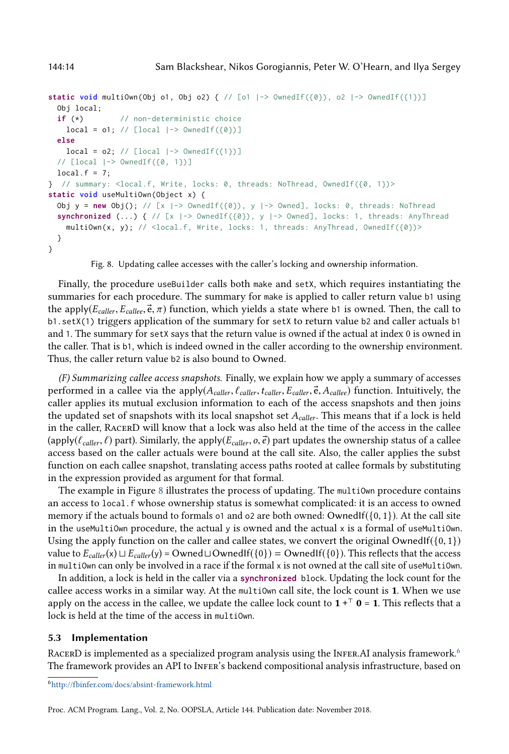```
static void multiOwn(Obj o1, Obj o2) { // [o1 |-> OwnedIf({0}), o2 |-> OwnedIf({1})]
 Obj local;
 if (*) // non-deterministic choice
    local = 01; // [local |-> \text{OwnedIf}({0})]else
    local = 02; // [local |->0wnedIf({1})]// [local |-> OwnedIf({0, 1})]
 local.f = 7;
} // summary: <local.f, Write, locks: 0, threads: NoThread, OwnedIf({0, 1})>
static void useMultiOwn(Object x) {
  Obj y = new Obj(); // [x |-> OwnedIf({0}), y |-> Owned], locks: 0, threads: NoThread
  synchronized (...) { // [x |-> OwnedIf({0}), y |-> Owned], locks: 1, threads: AnyThread
    multiOwn(x, y); // <local.f, Write, locks: 1, threads: AnyThread, OwnedIf({0})>
  }
}
```
Fig. 8. Updating callee accesses with the caller's locking and ownership information.

Finally, the procedure useBuilder calls both make and setX, which requires instantiating the summaries for each procedure. The summary for make is applied to caller return value b1 using the apply( $E_{\text{caller}}, E_{\text{caller}}, \vec{e}, \pi$ ) function, which yields a state where b1 is owned. Then, the call to b1.setX(1) triggers application of the summary for setX to return value b2 and caller actuals b1 and 1. The summary for setX says that the return value is owned if the actual at index 0 is owned in the caller. That is b1, which is indeed owned in the caller according to the ownership environment. Thus, the caller return value b2 is also bound to Owned.

 $(F)$  Summarizing callee access snapshots. Finally, we explain how we apply a summary of accesses performed in a callee via the apply( $A_{\text{caller}}$ ,  $\ell_{\text{caller}}$ ,  $\ell_{\text{caller}}$ ,  $E_{\text{caller}}$ ,  $\vec{e}$ ,  $A_{\text{caller}}$ ) function. Intuitively, the caller applies its mutual exclusion information to each of the access snapshots and then joins the updated set of snapshots with its local snapshot set  $A_{\text{caller}}$ . This means that if a lock is held in the caller, RacerD will know that a lock was also held at the time of the access in the callee (apply( $\ell_{\textit{caller}}, \ell$ ) part). Similarly, the apply( $E_{\textit{caller}}, o, \vec{e}$ ) part updates the ownership status of a callee access based on the caller actuals were bound at the call site. Also, the caller applies the subst function on each callee snapshot, translating access paths rooted at callee formals by substituting in the expression provided as argument for that formal.

The example in Figure [8](#page-13-0) illustrates the process of updating. The multiOwn procedure contains an access to local.f whose ownership status is somewhat complicated: it is an access to owned memory if the actuals bound to formals o1 and o2 are both owned: OwnedIf( $\{0, 1\}$ ). At the call site in the useMultiOwn procedure, the actual y is owned and the actual x is a formal of useMultiOwn. Using the apply function on the caller and callee states, we convert the original OwnedIf( $\{0, 1\}$ ) value to  $E_{\text{caller}}(x) \sqcup E_{\text{caller}}(y) =$  Owned  $\sqcup$  OwnedIf({0}) = OwnedIf({0}). This reflects that the access in multiOwn can only be involved in a race if the formal x is not owned at the call site of useMultiOwn.

In addition, a lock is held in the caller via a **synchronized** block. Updating the lock count for the callee access works in a similar way. At the multiOwn call site, the lock count is 1. When we use apply on the access in the callee, we update the callee lock count to  $1 +^{\top} 0 = 1$ . This reflects that a lock is held at the time of the access in multiOwn.

#### <span id="page-13-2"></span>5.3 Implementation

RACERD is implemented as a specialized program analysis using the INFER.AI analysis framework.<sup>[6](#page-13-1)</sup> The framework provides an API to INFER's backend compositional analysis infrastructure, based on

<span id="page-13-1"></span><sup>6</sup><http://fbinfer.com/docs/absint-framework.html>

Proc. ACM Program. Lang., Vol. 2, No. OOPSLA, Article 144. Publication date: November 2018.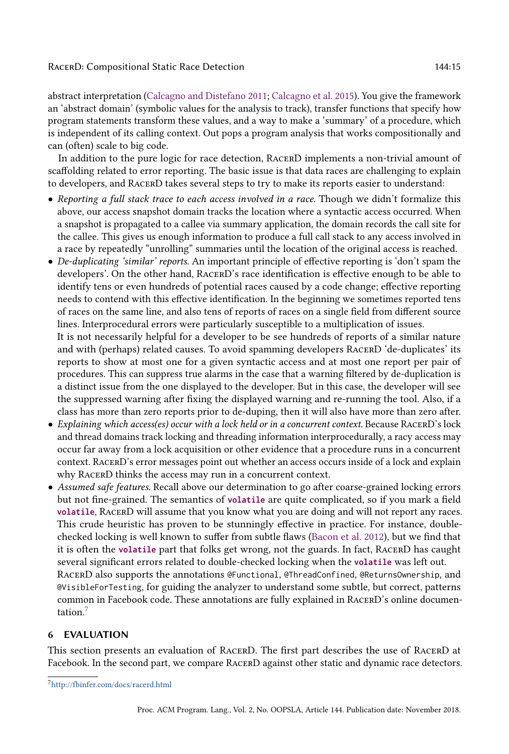abstract interpretation [\(Calcagno and Distefano 2011;](#page-26-10) [Calcagno et al.](#page-26-4) [2015\)](#page-26-4). You give the framework an 'abstract domain' (symbolic values for the analysis to track), transfer functions that specify how program statements transform these values, and a way to make a 'summary' of a procedure, which is independent of its calling context. Out pops a program analysis that works compositionally and can (often) scale to big code.

In addition to the pure logic for race detection, RACERD implements a non-trivial amount of scaffolding related to error reporting. The basic issue is that data races are challenging to explain to developers, and RacerD takes several steps to try to make its reports easier to understand:

- Reporting a full stack trace to each access involved in a race. Though we didn't formalize this above, our access snapshot domain tracks the location where a syntactic access occurred. When a snapshot is propagated to a callee via summary application, the domain records the call site for the callee. This gives us enough information to produce a full call stack to any access involved in a race by repeatedly "unrolling" summaries until the location of the original access is reached.
- De-duplicating 'similar' reports. An important principle of effective reporting is 'don't spam the developers'. On the other hand, RacerD's race identification is effective enough to be able to identify tens or even hundreds of potential races caused by a code change; effective reporting needs to contend with this effective identification. In the beginning we sometimes reported tens of races on the same line, and also tens of reports of races on a single field from different source lines. Interprocedural errors were particularly susceptible to a multiplication of issues. It is not necessarily helpful for a developer to be see hundreds of reports of a similar nature and with (perhaps) related causes. To avoid spamming developers RacerD 'de-duplicates' its reports to show at most one for a given syntactic access and at most one report per pair of procedures. This can suppress true alarms in the case that a warning filtered by de-duplication is a distinct issue from the one displayed to the developer. But in this case, the developer will see the suppressed warning after fixing the displayed warning and re-running the tool. Also, if a
- class has more than zero reports prior to de-duping, then it will also have more than zero after. • Explaining which access(es) occur with a lock held or in a concurrent context. Because RACERD's lock and thread domains track locking and threading information interprocedurally, a racy access may occur far away from a lock acquisition or other evidence that a procedure runs in a concurrent context. RacerD's error messages point out whether an access occurs inside of a lock and explain why RacerD thinks the access may run in a concurrent context.
- Assumed safe features. Recall above our determination to go after coarse-grained locking errors but not fine-grained. The semantics of **volatile** are quite complicated, so if you mark a field **volatile**, RacerD will assume that you know what you are doing and will not report any races. This crude heuristic has proven to be stunningly effective in practice. For instance, doublechecked locking is well known to suffer from subtle flaws [\(Bacon et al.](#page-26-11) [2012\)](#page-26-11), but we find that it is often the **volatile** part that folks get wrong, not the guards. In fact, RacerD has caught several significant errors related to double-checked locking when the **volatile** was left out. RacerD also supports the annotations @Functional, @ThreadConfined, @ReturnsOwnership, and @VisibleForTesting, for guiding the analyzer to understand some subtle, but correct, patterns common in Facebook code. These annotations are fully explained in RacerD's online documen-tation<sup>[7](#page-14-1)</sup>

# <span id="page-14-0"></span>6 EVALUATION

This section presents an evaluation of RacerD. The first part describes the use of RacerD at Facebook. In the second part, we compare RacerD against other static and dynamic race detectors.

<span id="page-14-1"></span><sup>7</sup><http://fbinfer.com/docs/racerd.html>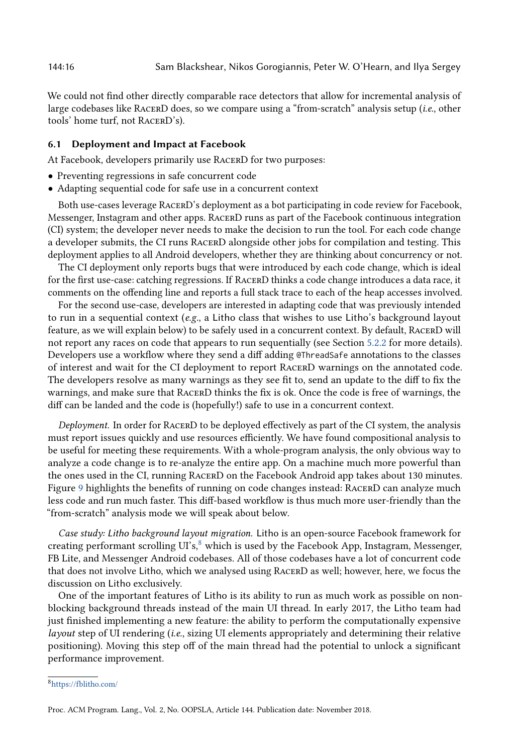We could not find other directly comparable race detectors that allow for incremental analysis of large codebases like RACERD does, so we compare using a "from-scratch" analysis setup (i.e., other tools' home turf, not RacerD's).

# 6.1 Deployment and Impact at Facebook

At Facebook, developers primarily use RacerD for two purposes:

- Preventing regressions in safe concurrent code
- Adapting sequential code for safe use in a concurrent context

Both use-cases leverage RacerD's deployment as a bot participating in code review for Facebook, Messenger, Instagram and other apps. RacerD runs as part of the Facebook continuous integration (CI) system; the developer never needs to make the decision to run the tool. For each code change a developer submits, the CI runs RACERD alongside other jobs for compilation and testing. This deployment applies to all Android developers, whether they are thinking about concurrency or not.

The CI deployment only reports bugs that were introduced by each code change, which is ideal for the first use-case: catching regressions. If RACERD thinks a code change introduces a data race, it comments on the offending line and reports a full stack trace to each of the heap accesses involved.

For the second use-case, developers are interested in adapting code that was previously intended to run in a sequential context ( $e.g.,$  a Litho class that wishes to use Litho's background layout feature, as we will explain below) to be safely used in a concurrent context. By default, RacerD will not report any races on code that appears to run sequentially (see Section [5.2.2](#page-8-1) for more details). Developers use a workflow where they send a diff adding @ThreadSafe annotations to the classes of interest and wait for the CI deployment to report RacerD warnings on the annotated code. The developers resolve as many warnings as they see fit to, send an update to the diff to fix the warnings, and make sure that RacerD thinks the fix is ok. Once the code is free of warnings, the diff can be landed and the code is (hopefully!) safe to use in a concurrent context.

Deployment. In order for RACERD to be deployed effectively as part of the CI system, the analysis must report issues quickly and use resources efficiently. We have found compositional analysis to be useful for meeting these requirements. With a whole-program analysis, the only obvious way to analyze a code change is to re-analyze the entire app. On a machine much more powerful than the ones used in the CI, running RacerD on the Facebook Android app takes about 130 minutes. Figure [9](#page-16-0) highlights the benefits of running on code changes instead: RacerD can analyze much less code and run much faster. This diff-based workflow is thus much more user-friendly than the łfrom-scratchž analysis mode we will speak about below.

Case study: *Litho* background layout migration. Litho is an open-source Facebook framework for creating performant scrolling UI's, ${}^{8}$  ${}^{8}$  ${}^{8}$  which is used by the Facebook App, Instagram, Messenger, FB Lite, and Messenger Android codebases. All of those codebases have a lot of concurrent code that does not involve Litho, which we analysed using RacerD as well; however, here, we focus the discussion on Litho exclusively.

One of the important features of Litho is its ability to run as much work as possible on nonblocking background threads instead of the main UI thread. In early 2017, the Litho team had just finished implementing a new feature: the ability to perform the computationally expensive layout step of UI rendering (i.e., sizing UI elements appropriately and determining their relative positioning). Moving this step off of the main thread had the potential to unlock a significant performance improvement.

<span id="page-15-0"></span><sup>8</sup><https://fblitho.com/>

Proc. ACM Program. Lang., Vol. 2, No. OOPSLA, Article 144. Publication date: November 2018.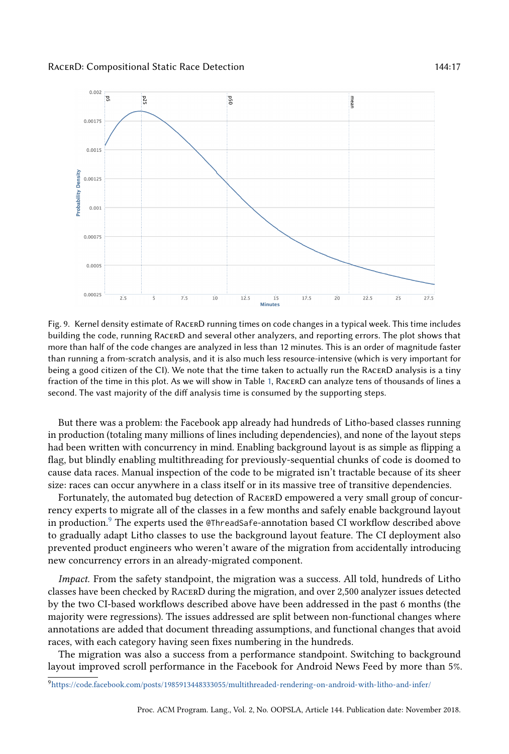<span id="page-16-0"></span>

Fig. 9. Kernel density estimate of RacerD running times on code changes in a typical week. This time includes building the code, running RacerD and several other analyzers, and reporting errors. The plot shows that more than half of the code changes are analyzed in less than 12 minutes. This is an order of magnitude faster than running a from-scratch analysis, and it is also much less resource-intensive (which is very important for being a good citizen of the CI). We note that the time taken to actually run the RacerD analysis is a tiny fraction of the time in this plot. As we will show in Table [1,](#page-19-0) RacerD can analyze tens of thousands of lines a second. The vast majority of the diff analysis time is consumed by the supporting steps.

But there was a problem: the Facebook app already had hundreds of Litho-based classes running in production (totaling many millions of lines including dependencies), and none of the layout steps had been written with concurrency in mind. Enabling background layout is as simple as flipping a flag, but blindly enabling multithreading for previously-sequential chunks of code is doomed to cause data races. Manual inspection of the code to be migrated isn't tractable because of its sheer size: races can occur anywhere in a class itself or in its massive tree of transitive dependencies.

Fortunately, the automated bug detection of RACERD empowered a very small group of concurrency experts to migrate all of the classes in a few months and safely enable background layout in production.<sup>[9](#page-16-1)</sup> The experts used the @ThreadSafe-annotation based CI workflow described above to gradually adapt Litho classes to use the background layout feature. The CI deployment also prevented product engineers who weren't aware of the migration from accidentally introducing new concurrency errors in an already-migrated component.

Impact. From the safety standpoint, the migration was a success. All told, hundreds of Litho classes have been checked by RacerD during the migration, and over 2,500 analyzer issues detected by the two CI-based workflows described above have been addressed in the past 6 months (the majority were regressions). The issues addressed are split between non-functional changes where annotations are added that document threading assumptions, and functional changes that avoid races, with each category having seen fixes numbering in the hundreds.

The migration was also a success from a performance standpoint. Switching to background layout improved scroll performance in the Facebook for Android News Feed by more than 5%.

<span id="page-16-1"></span><sup>9</sup><https://code.facebook.com/posts/1985913448333055/multithreaded-rendering-on-android-with-litho-and-infer/>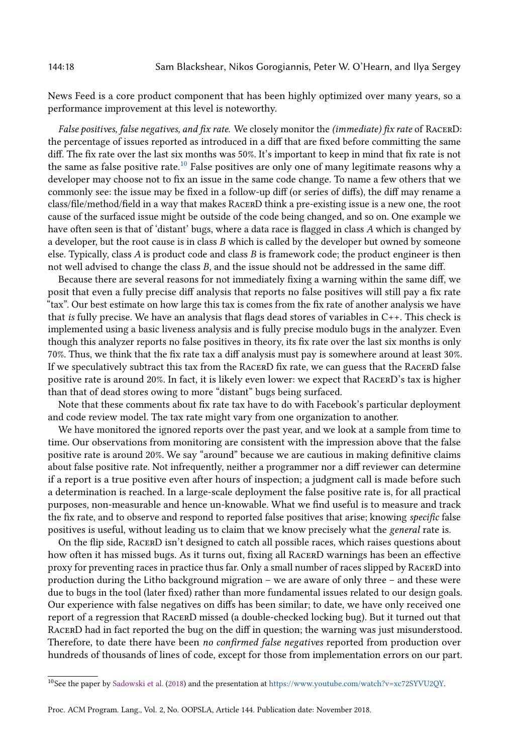News Feed is a core product component that has been highly optimized over many years, so a performance improvement at this level is noteworthy.

False positives, false negatives, and fix rate. We closely monitor the (immediate) fix rate of RACERD: the percentage of issues reported as introduced in a diff that are fixed before committing the same diff. The fix rate over the last six months was 50%. It's important to keep in mind that fix rate is not the same as false positive rate.<sup>[10](#page-17-0)</sup> False positives are only one of many legitimate reasons why a developer may choose not to fix an issue in the same code change. To name a few others that we commonly see: the issue may be fixed in a follow-up diff (or series of diffs), the diff may rename a class/file/method/field in a way that makes RacerD think a pre-existing issue is a new one, the root cause of the surfaced issue might be outside of the code being changed, and so on. One example we have often seen is that of 'distant' bugs, where a data race is flagged in class A which is changed by a developer, but the root cause is in class B which is called by the developer but owned by someone else. Typically, class  $A$  is product code and class  $B$  is framework code; the product engineer is then not well advised to change the class B, and the issue should not be addressed in the same diff.

Because there are several reasons for not immediately fixing a warning within the same diff, we posit that even a fully precise diff analysis that reports no false positives will still pay a fix rate "tax". Our best estimate on how large this tax is comes from the fix rate of another analysis we have that is fully precise. We have an analysis that flags dead stores of variables in C++. This check is implemented using a basic liveness analysis and is fully precise modulo bugs in the analyzer. Even though this analyzer reports no false positives in theory, its fix rate over the last six months is only 70%. Thus, we think that the fix rate tax a diff analysis must pay is somewhere around at least 30%. If we speculatively subtract this tax from the RacerD fix rate, we can guess that the RacerD false positive rate is around 20%. In fact, it is likely even lower: we expect that RacerD's tax is higher than that of dead stores owing to more "distant" bugs being surfaced.

Note that these comments about fix rate tax have to do with Facebook's particular deployment and code review model. The tax rate might vary from one organization to another.

We have monitored the ignored reports over the past year, and we look at a sample from time to time. Our observations from monitoring are consistent with the impression above that the false positive rate is around 20%. We say "around" because we are cautious in making definitive claims about false positive rate. Not infrequently, neither a programmer nor a diff reviewer can determine if a report is a true positive even after hours of inspection; a judgment call is made before such a determination is reached. In a large-scale deployment the false positive rate is, for all practical purposes, non-measurable and hence un-knowable. What we find useful is to measure and track the fix rate, and to observe and respond to reported false positives that arise; knowing specific false positives is useful, without leading us to claim that we know precisely what the general rate is.

On the flip side, RacerD isn't designed to catch all possible races, which raises questions about how often it has missed bugs. As it turns out, fixing all RacerD warnings has been an effective proxy for preventing races in practice thus far. Only a small number of races slipped by RacerD into production during the Litho background migration – we are aware of only three – and these were due to bugs in the tool (later fixed) rather than more fundamental issues related to our design goals. Our experience with false negatives on diffs has been similar; to date, we have only received one report of a regression that RacerD missed (a double-checked locking bug). But it turned out that RacerD had in fact reported the bug on the diff in question; the warning was just misunderstood. Therefore, to date there have been no confirmed false negatives reported from production over hundreds of thousands of lines of code, except for those from implementation errors on our part.

<span id="page-17-0"></span><sup>10</sup>See the paper by [Sadowski et al.](#page-27-2) [\(2018\)](#page-27-2) and the presentation at [https://www.youtube.com/watch?v=xc72SYVU2QY.](https://www.youtube.com/watch?v=xc72SYVU2QY)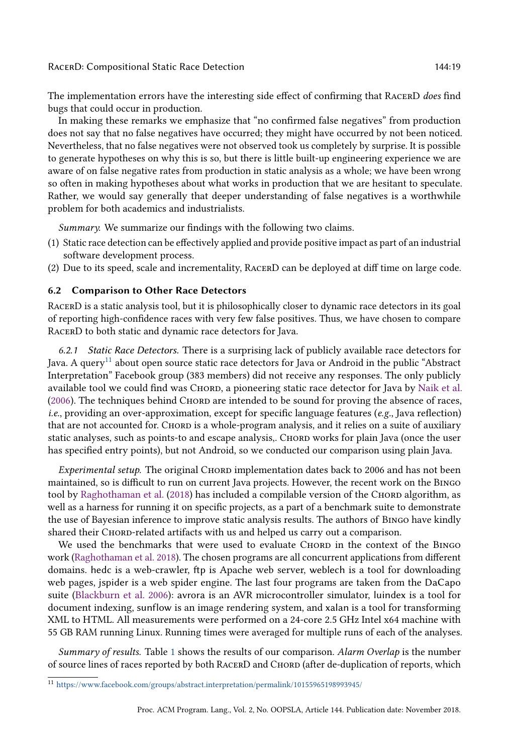The implementation errors have the interesting side effect of confirming that RACERD does find bugs that could occur in production.

In making these remarks we emphasize that "no confirmed false negatives" from production does not say that no false negatives have occurred; they might have occurred by not been noticed. Nevertheless, that no false negatives were not observed took us completely by surprise. It is possible to generate hypotheses on why this is so, but there is little built-up engineering experience we are aware of on false negative rates from production in static analysis as a whole; we have been wrong so often in making hypotheses about what works in production that we are hesitant to speculate. Rather, we would say generally that deeper understanding of false negatives is a worthwhile problem for both academics and industrialists.

Summary. We summarize our findings with the following two claims.

- (1) Static race detection can be effectively applied and provide positive impact as part of an industrial software development process.
- (2) Due to its speed, scale and incrementality, RacerD can be deployed at diff time on large code.

# 6.2 Comparison to Other Race Detectors

RacerD is a static analysis tool, but it is philosophically closer to dynamic race detectors in its goal of reporting high-confidence races with very few false positives. Thus, we have chosen to compare RacerD to both static and dynamic race detectors for Java.

*6.2.1 Static Race Detectors.* There is a surprising lack of publicly available race detectors for Java. A query<sup>[11](#page-18-0)</sup> about open source static race detectors for Java or Android in the public "Abstract" Interpretationž Facebook group (383 members) did not receive any responses. The only publicly available tool we could find was CHORD, a pioneering static race detector for Java by [Naik et al.](#page-27-5) [\(2006\)](#page-27-5). The techniques behind CHORD are intended to be sound for proving the absence of races, *i.e.*, providing an over-approximation, except for specific language features (*e.g.*, Java reflection) that are not accounted for. Chord is a whole-program analysis, and it relies on a suite of auxiliary static analyses, such as points-to and escape analysis,. CHORD works for plain Java (once the user has specified entry points), but not Android, so we conducted our comparison using plain Java.

Experimental setup. The original CHORD implementation dates back to 2006 and has not been maintained, so is difficult to run on current Java projects. However, the recent work on the Bingo tool by [Raghothaman et al.](#page-27-6) [\(2018\)](#page-27-6) has included a compilable version of the CHORD algorithm, as well as a harness for running it on specific projects, as a part of a benchmark suite to demonstrate the use of Bayesian inference to improve static analysis results. The authors of Bingo have kindly shared their CHORD-related artifacts with us and helped us carry out a comparison.

We used the benchmarks that were used to evaluate CHORD in the context of the BINGO work [\(Raghothaman et al.](#page-27-6) [2018\)](#page-27-6). The chosen programs are all concurrent applications from different domains. hedc is a web-crawler, ftp is Apache web server, weblech is a tool for downloading web pages, jspider is a web spider engine. The last four programs are taken from the DaCapo suite [\(Blackburn et al.](#page-26-12) [2006\)](#page-26-12): avrora is an AVR microcontroller simulator, luindex is a tool for document indexing, sunflow is an image rendering system, and xalan is a tool for transforming XML to HTML. All measurements were performed on a 24-core 2.5 GHz Intel x64 machine with 55 GB RAM running Linux. Running times were averaged for multiple runs of each of the analyses.

Summary of results. Table [1](#page-19-0) shows the results of our comparison. Alarm Overlap is the number of source lines of races reported by both RacerD and Chord (after de-duplication of reports, which

<span id="page-18-0"></span><sup>11</sup> <https://www.facebook.com/groups/abstract.interpretation/permalink/10155965198993945/>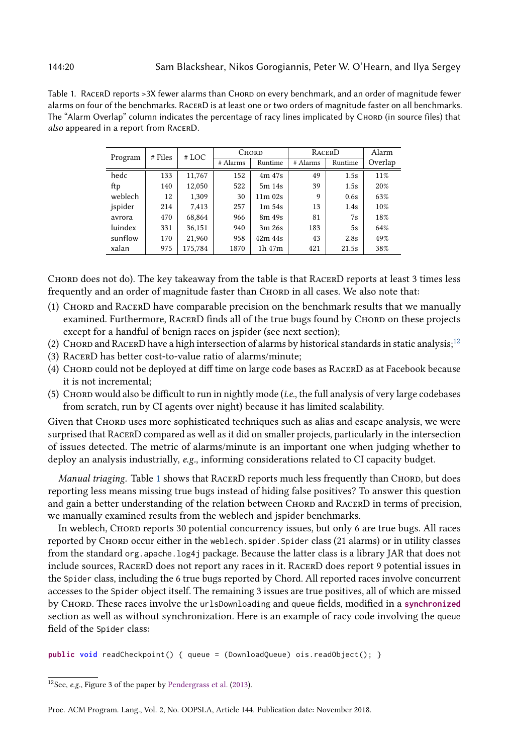<span id="page-19-0"></span>Table 1. RACERD reports >3X fewer alarms than CHORD on every benchmark, and an order of magnitude fewer alarms on four of the benchmarks. RacerD is at least one or two orders of magnitude faster on all benchmarks. The "Alarm Overlap" column indicates the percentage of racy lines implicated by CHORD (in source files) that *also* appeared in a report from RacerD.

| Program | # Files | # LOC   | <b>CHORD</b> |                   | RACERD   |         | Alarm   |
|---------|---------|---------|--------------|-------------------|----------|---------|---------|
|         |         |         | # Alarms     | Runtime           | # Alarms | Runtime | Overlap |
| hedc    | 133     | 11.767  | 152          | 4m <sub>47s</sub> | 49       | 1.5s    | 11%     |
| ftp     | 140     | 12,050  | 522          | 5m 14s            | 39       | 1.5s    | 20%     |
| weblech | 12      | 1,309   | 30           | $11m$ 02s         | 9        | 0.6s    | 63%     |
| jspider | 214     | 7,413   | 257          | 1m <sub>54s</sub> | 13       | 1.4s    | 10%     |
| avrora  | 470     | 68,864  | 966          | 8m 49s            | 81       | 7s      | 18%     |
| luindex | 331     | 36,151  | 940          | 3m 26s            | 183      | 5s      | 64%     |
| sunflow | 170     | 21,960  | 958          | 42m 44s           | 43       | 2.8s    | 49%     |
| xalan   | 975     | 175,784 | 1870         | 1h 47m            | 421      | 21.5s   | 38%     |

CHORD does not do). The key takeaway from the table is that RACERD reports at least 3 times less frequently and an order of magnitude faster than CHORD in all cases. We also note that:

- (1) Chord and RacerD have comparable precision on the benchmark results that we manually examined. Furthermore, RACERD finds all of the true bugs found by CHORD on these projects except for a handful of benign races on jspider (see next section);
- (2) CHORD and RACERD have a high intersection of alarms by historical standards in static analysis;<sup>[12](#page-19-1)</sup>
- (3) RacerD has better cost-to-value ratio of alarms/minute;
- (4) Chord could not be deployed at diff time on large code bases as RacerD as at Facebook because it is not incremental;
- (5) CHORD would also be difficult to run in nightly mode (i.e., the full analysis of very large codebases from scratch, run by CI agents over night) because it has limited scalability.

Given that CHORD uses more sophisticated techniques such as alias and escape analysis, we were surprised that RACERD compared as well as it did on smaller projects, particularly in the intersection of issues detected. The metric of alarms/minute is an important one when judging whether to deploy an analysis industrially, e.g., informing considerations related to CI capacity budget.

Manual triaging. Table [1](#page-19-0) shows that RACERD reports much less frequently than CHORD, but does reporting less means missing true bugs instead of hiding false positives? To answer this question and gain a better understanding of the relation between CHORD and RACERD in terms of precision, we manually examined results from the weblech and jspider benchmarks.

In weblech, CHORD reports 30 potential concurrency issues, but only 6 are true bugs. All races reported by CHORD occur either in the weblech.spider.Spider class (21 alarms) or in utility classes from the standard org. apache. log4j package. Because the latter class is a library JAR that does not include sources, RacerD does not report any races in it. RacerD does report 9 potential issues in the Spider class, including the 6 true bugs reported by Chord. All reported races involve concurrent accesses to the Spider object itself. The remaining 3 issues are true positives, all of which are missed by Chord. These races involve the urlsDownloading and queue fields, modified in a **synchronized** section as well as without synchronization. Here is an example of racy code involving the queue field of the Spider class:

**public void** readCheckpoint() { queue = (DownloadQueue) ois.readObject(); }

Proc. ACM Program. Lang., Vol. 2, No. OOPSLA, Article 144. Publication date: November 2018.

<span id="page-19-1"></span><sup>12</sup>See, e.g., Figure 3 of the paper by [Pendergrass et al.](#page-27-7) [\(2013\)](#page-27-7).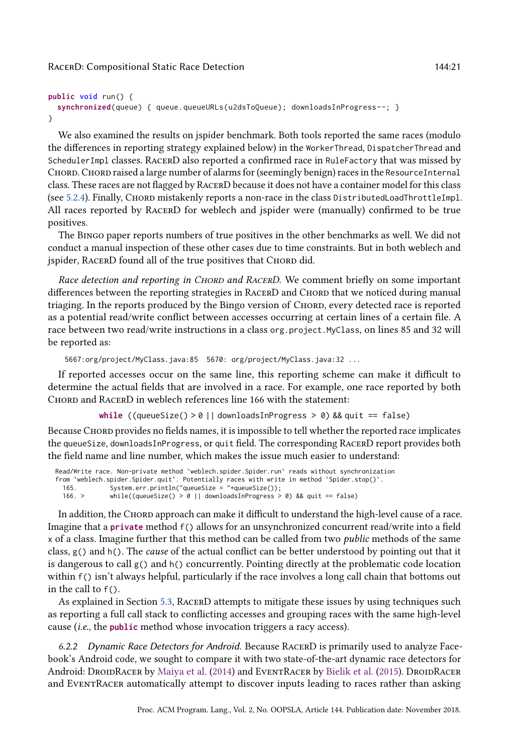```
public void run() {
  synchronized(queue) { queue.queueURLs(u2dsToQueue); downloadsInProgress--; }
}
```
We also examined the results on jspider benchmark. Both tools reported the same races (modulo the differences in reporting strategy explained below) in the WorkerThread, DispatcherThread and SchedulerImpl classes. RACERD also reported a confirmed race in RuleFactory that was missed by CHORD. CHORD raised a large number of alarms for (seemingly benign) races in the ResourceInternal class. These races are not flagged by RacerD because it does not have a container model for this class (see [5.2.4\)](#page-10-1). Finally, Chord mistakenly reports a non-race in the class DistributedLoadThrottleImpl. All races reported by RacerD for weblech and jspider were (manually) confirmed to be true positives.

The Bingo paper reports numbers of true positives in the other benchmarks as well. We did not conduct a manual inspection of these other cases due to time constraints. But in both weblech and jspider, RACERD found all of the true positives that CHORD did.

Race detection and reporting in CHORD and RACERD. We comment briefly on some important differences between the reporting strategies in RACERD and CHORD that we noticed during manual triaging. In the reports produced by the Bingo version of CHORD, every detected race is reported as a potential read/write conflict between accesses occurring at certain lines of a certain file. A race between two read/write instructions in a class org.project.MyClass, on lines 85 and 32 will be reported as:

```
5667:org/project/MyClass.java:85 5670: org/project/MyClass.java:32 ...
```
If reported accesses occur on the same line, this reporting scheme can make it difficult to determine the actual fields that are involved in a race. For example, one race reported by both Chord and RacerD in weblech references line 166 with the statement:

**while** ((queueSize() >  $\theta$  || downloadsInProgress >  $\theta$ ) && quit == false)

Because Chord provides no fields names, it is impossible to tell whether the reported race implicates the queueSize, downloadsInProgress, or quit field. The corresponding RacerD report provides both the field name and line number, which makes the issue much easier to understand:

```
Read/Write race. Non-private method `weblech.spider.Spider.run` reads without synchronization
from `weblech.spider.Spider.quit`. Potentially races with write in method `Spider.stop()`.
165. System.err.println("queueSize = "+queueSize());
  166. > while((queueSize() > 0 || downloadsInProgress > 0) && quit == false)
```
In addition, the Chord approach can make it difficult to understand the high-level cause of a race. Imagine that a **private** method f() allows for an unsynchronized concurrent read/write into a field x of a class. Imagine further that this method can be called from two public methods of the same class,  $g()$  and  $h()$ . The *cause* of the actual conflict can be better understood by pointing out that it is dangerous to call  $g()$  and  $h()$  concurrently. Pointing directly at the problematic code location within f() isn't always helpful, particularly if the race involves a long call chain that bottoms out in the call to f().

As explained in Section [5.3,](#page-13-2) RacerD attempts to mitigate these issues by using techniques such as reporting a full call stack to conflicting accesses and grouping races with the same high-level cause (i.e., the **public** method whose invocation triggers a racy access).

*6.2.2 Dynamic Race Detectors for Android.* Because RacerD is primarily used to analyze Facebook's Android code, we sought to compare it with two state-of-the-art dynamic race detectors for Android: DROIDRACER by [Maiya et al.](#page-27-8) [\(2014\)](#page-27-8) and EVENTRACER by [Bielik et al.](#page-26-13) [\(2015\)](#page-26-13). DROIDRACER and EventRacer automatically attempt to discover inputs leading to races rather than asking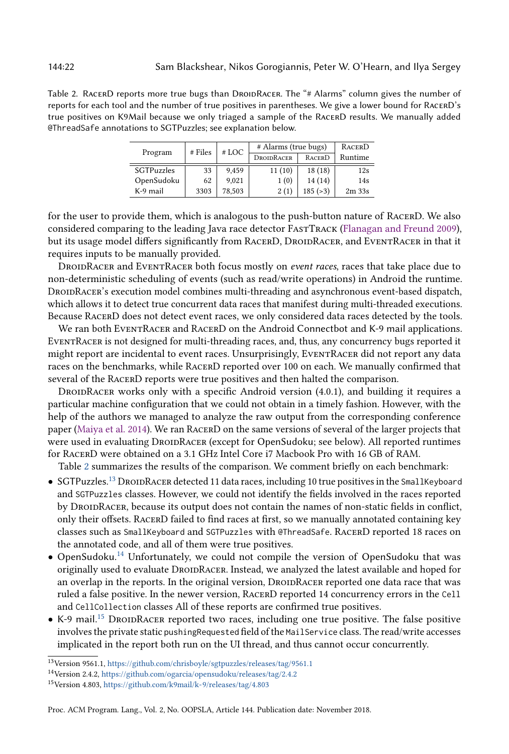<span id="page-21-0"></span>Table 2. RACERD reports more true bugs than DROIDRACER. The "# Alarms" column gives the number of reports for each tool and the number of true positives in parentheses. We give a lower bound for RacerD's true positives on K9Mail because we only triaged a sample of the RACERD results. We manually added @ThreadSafe annotations to SGTPuzzles; see explanation below.

| Program           | # Files | # LOC  | # Alarms (true bugs) | RACERD     |          |
|-------------------|---------|--------|----------------------|------------|----------|
|                   |         |        | <b>DROIDRACER</b>    | RACERD     | Runtime  |
| <b>SGTPuzzles</b> | 33      | 9.459  | 11(10)               | 18(18)     | 12s      |
| OpenSudoku        | 62      | 9.021  | 1(0)                 | 14(14)     | 14s      |
| K-9 mail          | 3303    | 78.503 | 2(1)                 | $185 (=3)$ | $2m$ 33s |

for the user to provide them, which is analogous to the push-button nature of RacerD. We also considered comparing to the leading Java race detector FastTrack [\(Flanagan and Freund 2009\)](#page-26-14), but its usage model differs significantly from RACERD, DROIDRACER, and EVENTRACER in that it requires inputs to be manually provided.

DROIDRACER and EVENTRACER both focus mostly on event races, races that take place due to non-deterministic scheduling of events (such as read/write operations) in Android the runtime. DroidRacer's execution model combines multi-threading and asynchronous event-based dispatch, which allows it to detect true concurrent data races that manifest during multi-threaded executions. Because RacerD does not detect event races, we only considered data races detected by the tools.

We ran both EVENTRACER and RACERD on the Android Connectbot and K-9 mail applications. EventRacer is not designed for multi-threading races, and, thus, any concurrency bugs reported it might report are incidental to event races. Unsurprisingly, EventRacer did not report any data races on the benchmarks, while RacerD reported over 100 on each. We manually confirmed that several of the RacerD reports were true positives and then halted the comparison.

DROIDRACER works only with a specific Android version (4.0.1), and building it requires a particular machine configuration that we could not obtain in a timely fashion. However, with the help of the authors we managed to analyze the raw output from the corresponding conference paper [\(Maiya et al.](#page-27-8) [2014\)](#page-27-8). We ran RacerD on the same versions of several of the larger projects that were used in evaluating DROIDRACER (except for OpenSudoku; see below). All reported runtimes for RacerD were obtained on a 3.1 GHz Intel Core i7 Macbook Pro with 16 GB of RAM.

Table [2](#page-21-0) summarizes the results of the comparison. We comment briefly on each benchmark:

- $\bullet \,$  SGTPuzzles.<sup>[13](#page-21-1)</sup> DroidRacer detected 11 data races, including 10 true positives in the SmallKeyboard and SGTPuzzles classes. However, we could not identify the fields involved in the races reported by DROIDRACER, because its output does not contain the names of non-static fields in conflict, only their offsets. RacerD failed to find races at first, so we manually annotated containing key classes such as SmallKeyboard and SGTPuzzles with @ThreadSafe. RacerD reported 18 races on the annotated code, and all of them were true positives.
- OpenSudoku.<sup>[14](#page-21-2)</sup> Unfortunately, we could not compile the version of OpenSudoku that was originally used to evaluate DROIDRACER. Instead, we analyzed the latest available and hoped for an overlap in the reports. In the original version, DROIDRACER reported one data race that was ruled a false positive. In the newer version, RacerD reported 14 concurrency errors in the Cell and CellCollection classes All of these reports are confirmed true positives.
- K-9 mail.<sup>[15](#page-21-3)</sup> DroIDRACER reported two races, including one true positive. The false positive involves the private static pushingRequested field of the MailService class. The read/write accesses implicated in the report both run on the UI thread, and thus cannot occur concurrently.

<span id="page-21-1"></span><sup>13</sup>Version 9561.1, <https://github.com/chrisboyle/sgtpuzzles/releases/tag/9561.1>

<span id="page-21-2"></span><sup>14</sup>Version 2.4.2, <https://github.com/ogarcia/opensudoku/releases/tag/2.4.2>

<span id="page-21-3"></span><sup>15</sup>Version 4.803, <https://github.com/k9mail/k-9/releases/tag/4.803>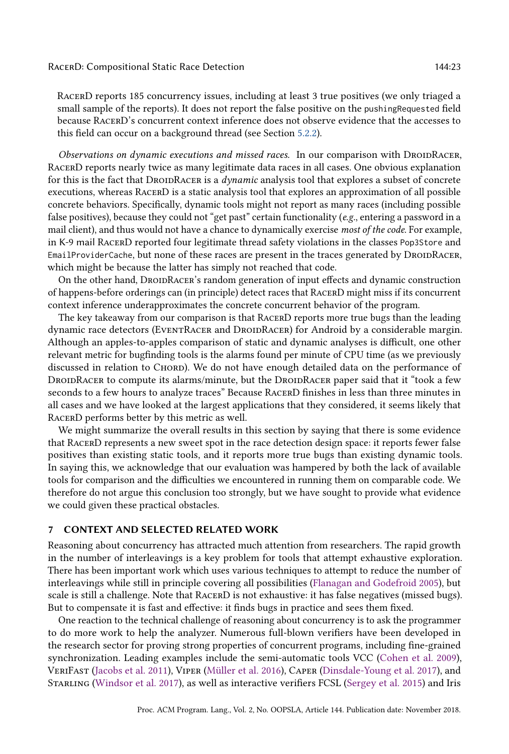RacerD reports 185 concurrency issues, including at least 3 true positives (we only triaged a small sample of the reports). It does not report the false positive on the pushingRequested field because RacerD's concurrent context inference does not observe evidence that the accesses to this field can occur on a background thread (see Section [5.2.2\)](#page-8-1).

Observations on dynamic executions and missed races. In our comparison with DROIDRACER, RacerD reports nearly twice as many legitimate data races in all cases. One obvious explanation for this is the fact that DROIDRACER is a *dynamic* analysis tool that explores a subset of concrete executions, whereas RacerD is a static analysis tool that explores an approximation of all possible concrete behaviors. Specifically, dynamic tools might not report as many races (including possible false positives), because they could not "get past" certain functionality ( $e.g.,$  entering a password in a mail client), and thus would not have a chance to dynamically exercise most of the code. For example, in K-9 mail RacerD reported four legitimate thread safety violations in the classes Pop3Store and EmailProviderCache, but none of these races are present in the traces generated by DROIDRACER, which might be because the latter has simply not reached that code.

On the other hand, DROIDRACER's random generation of input effects and dynamic construction of happens-before orderings can (in principle) detect races that RacerD might miss if its concurrent context inference underapproximates the concrete concurrent behavior of the program.

The key takeaway from our comparison is that RacerD reports more true bugs than the leading dynamic race detectors (EVENTRACER and DROIDRACER) for Android by a considerable margin. Although an apples-to-apples comparison of static and dynamic analyses is difficult, one other relevant metric for bugfinding tools is the alarms found per minute of CPU time (as we previously discussed in relation to CHORD). We do not have enough detailed data on the performance of DROIDRACER to compute its alarms/minute, but the DROIDRACER paper said that it "took a few seconds to a few hours to analyze tracesž Because RacerD finishes in less than three minutes in all cases and we have looked at the largest applications that they considered, it seems likely that RacerD performs better by this metric as well.

We might summarize the overall results in this section by saying that there is some evidence that RacerD represents a new sweet spot in the race detection design space: it reports fewer false positives than existing static tools, and it reports more true bugs than existing dynamic tools. In saying this, we acknowledge that our evaluation was hampered by both the lack of available tools for comparison and the difficulties we encountered in running them on comparable code. We therefore do not argue this conclusion too strongly, but we have sought to provide what evidence we could given these practical obstacles.

# <span id="page-22-0"></span>7 CONTEXT AND SELECTED RELATED WORK

Reasoning about concurrency has attracted much attention from researchers. The rapid growth in the number of interleavings is a key problem for tools that attempt exhaustive exploration. There has been important work which uses various techniques to attempt to reduce the number of interleavings while still in principle covering all possibilities [\(Flanagan and Godefroid 2005\)](#page-26-15), but scale is still a challenge. Note that RacerD is not exhaustive: it has false negatives (missed bugs). But to compensate it is fast and effective: it finds bugs in practice and sees them fixed.

One reaction to the technical challenge of reasoning about concurrency is to ask the programmer to do more work to help the analyzer. Numerous full-blown verifiers have been developed in the research sector for proving strong properties of concurrent programs, including fine-grained synchronization. Leading examples include the semi-automatic tools VCC [\(Cohen et al.](#page-26-16) [2009\)](#page-26-16), VeriFast [\(Jacobs et al.](#page-26-17) [2011\)](#page-26-17), Viper [\(Müller et al.](#page-27-9) [2016\)](#page-27-9), Caper [\(Dinsdale-Young et al.](#page-26-18) [2017\)](#page-26-18), and Starling [\(Windsor et al.](#page-27-10) [2017\)](#page-27-10), as well as interactive verifiers FCSL [\(Sergey et al.](#page-27-11) [2015\)](#page-27-11) and Iris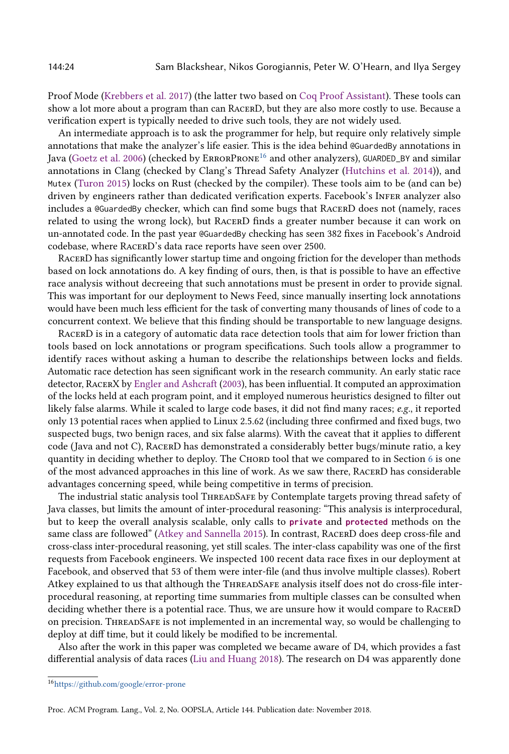Proof Mode [\(Krebbers et al.](#page-27-12) [2017\)](#page-27-12) (the latter two based on [Coq Proof Assistant\)](#page-26-19). These tools can show a lot more about a program than can RacerD, but they are also more costly to use. Because a verification expert is typically needed to drive such tools, they are not widely used.

An intermediate approach is to ask the programmer for help, but require only relatively simple annotations that make the analyzer's life easier. This is the idea behind @GuardedBy annotations in Java [\(Goetz et al.](#page-26-1) [2006\)](#page-26-1) (checked by ERRORPRONE<sup>[16](#page-23-0)</sup> and other analyzers), GUARDED\_BY and similar annotations in Clang (checked by Clang's Thread Safety Analyzer [\(Hutchins et al.](#page-26-20) [2014\)](#page-26-20)), and Mutex [\(Turon 2015\)](#page-27-13) locks on Rust (checked by the compiler). These tools aim to be (and can be) driven by engineers rather than dedicated verification experts. Facebook's Infer analyzer also includes a @GuardedBy checker, which can find some bugs that RacerD does not (namely, races related to using the wrong lock), but RacerD finds a greater number because it can work on un-annotated code. In the past year @GuardedBy checking has seen 382 fixes in Facebook's Android codebase, where RacerD's data race reports have seen over 2500.

RacerD has significantly lower startup time and ongoing friction for the developer than methods based on lock annotations do. A key finding of ours, then, is that is possible to have an effective race analysis without decreeing that such annotations must be present in order to provide signal. This was important for our deployment to News Feed, since manually inserting lock annotations would have been much less efficient for the task of converting many thousands of lines of code to a concurrent context. We believe that this finding should be transportable to new language designs.

RacerD is in a category of automatic data race detection tools that aim for lower friction than tools based on lock annotations or program specifications. Such tools allow a programmer to identify races without asking a human to describe the relationships between locks and fields. Automatic race detection has seen significant work in the research community. An early static race detector, RacerX by [Engler and Ashcraft](#page-26-21) [\(2003\)](#page-26-21), has been influential. It computed an approximation of the locks held at each program point, and it employed numerous heuristics designed to filter out likely false alarms. While it scaled to large code bases, it did not find many races; e.g., it reported only 13 potential races when applied to Linux 2.5.62 (including three confirmed and fixed bugs, two suspected bugs, two benign races, and six false alarms). With the caveat that it applies to different code (Java and not C), RacerD has demonstrated a considerably better bugs/minute ratio, a key quantity in deciding whether to deploy. The CHORD tool that we compared to in Section  $6$  is one of the most advanced approaches in this line of work. As we saw there, RacerD has considerable advantages concerning speed, while being competitive in terms of precision.

The industrial static analysis tool ThreadSafe by Contemplate targets proving thread safety of Java classes, but limits the amount of inter-procedural reasoning: "This analysis is interprocedural, but to keep the overall analysis scalable, only calls to **private** and **protected** methods on the same class are followed" [\(Atkey and Sannella 2015\)](#page-26-22). In contrast, RACERD does deep cross-file and cross-class inter-procedural reasoning, yet still scales. The inter-class capability was one of the first requests from Facebook engineers. We inspected 100 recent data race fixes in our deployment at Facebook, and observed that 53 of them were inter-file (and thus involve multiple classes). Robert Atkey explained to us that although the THREADSAFE analysis itself does not do cross-file interprocedural reasoning, at reporting time summaries from multiple classes can be consulted when deciding whether there is a potential race. Thus, we are unsure how it would compare to RACERD on precision. ThreadSafe is not implemented in an incremental way, so would be challenging to deploy at diff time, but it could likely be modified to be incremental.

Also after the work in this paper was completed we became aware of D4, which provides a fast differential analysis of data races [\(Liu and Huang 2018\)](#page-27-14). The research on D4 was apparently done

Proc. ACM Program. Lang., Vol. 2, No. OOPSLA, Article 144. Publication date: November 2018.

<span id="page-23-0"></span><sup>16</sup><https://github.com/google/error-prone>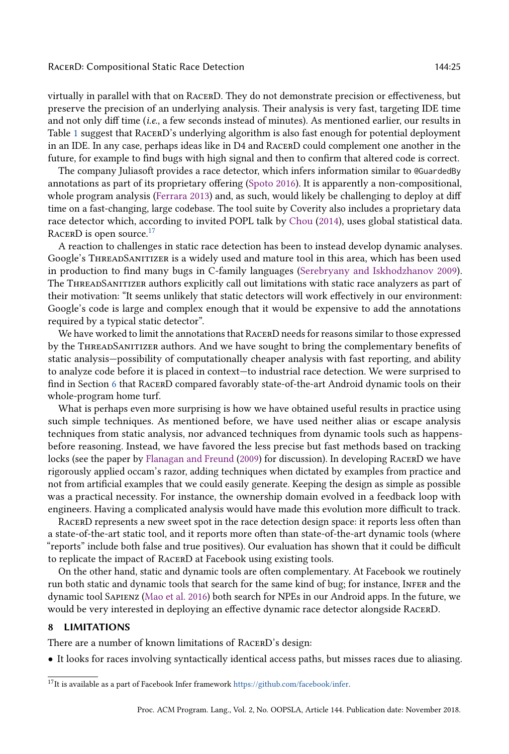virtually in parallel with that on RacerD. They do not demonstrate precision or effectiveness, but preserve the precision of an underlying analysis. Their analysis is very fast, targeting IDE time and not only diff time (i.e., a few seconds instead of minutes). As mentioned earlier, our results in Table [1](#page-19-0) suggest that RacerD's underlying algorithm is also fast enough for potential deployment in an IDE. In any case, perhaps ideas like in D4 and RacerD could complement one another in the future, for example to find bugs with high signal and then to confirm that altered code is correct.

The company Juliasoft provides a race detector, which infers information similar to @GuardedBy annotations as part of its proprietary offering [\(Spoto 2016\)](#page-27-15). It is apparently a non-compositional, whole program analysis [\(Ferrara 2013\)](#page-26-23) and, as such, would likely be challenging to deploy at diff time on a fast-changing, large codebase. The tool suite by Coverity also includes a proprietary data race detector which, according to invited POPL talk by [Chou](#page-26-24) [\(2014\)](#page-26-24), uses global statistical data. RACERD is open source.<sup>[17](#page-24-1)</sup>

A reaction to challenges in static race detection has been to instead develop dynamic analyses. Google's ThreadSanitizer is a widely used and mature tool in this area, which has been used in production to find many bugs in C-family languages [\(Serebryany and Iskhodzhanov 2009\)](#page-27-16). The ThreadSanitizer authors explicitly call out limitations with static race analyzers as part of their motivation: "It seems unlikely that static detectors will work effectively in our environment: Google's code is large and complex enough that it would be expensive to add the annotations required by a typical static detector".

We have worked to limit the annotations that RacerD needs for reasons similar to those expressed by the THREADSANITIZER authors. And we have sought to bring the complementary benefits of static analysis–possibility of computationally cheaper analysis with fast reporting, and ability to analyze code before it is placed in context—to industrial race detection. We were surprised to find in Section [6](#page-14-0) that RACERD compared favorably state-of-the-art Android dynamic tools on their whole-program home turf.

What is perhaps even more surprising is how we have obtained useful results in practice using such simple techniques. As mentioned before, we have used neither alias or escape analysis techniques from static analysis, nor advanced techniques from dynamic tools such as happensbefore reasoning. Instead, we have favored the less precise but fast methods based on tracking locks (see the paper by [Flanagan and Freund](#page-26-14) [\(2009\)](#page-26-14) for discussion). In developing RacerD we have rigorously applied occam's razor, adding techniques when dictated by examples from practice and not from artificial examples that we could easily generate. Keeping the design as simple as possible was a practical necessity. For instance, the ownership domain evolved in a feedback loop with engineers. Having a complicated analysis would have made this evolution more difficult to track.

RacerD represents a new sweet spot in the race detection design space: it reports less often than a state-of-the-art static tool, and it reports more often than state-of-the-art dynamic tools (where "reports" include both false and true positives). Our evaluation has shown that it could be difficult to replicate the impact of RacerD at Facebook using existing tools.

On the other hand, static and dynamic tools are often complementary. At Facebook we routinely run both static and dynamic tools that search for the same kind of bug; for instance, INFER and the dynamic tool Sapienz [\(Mao et al.](#page-27-17) [2016\)](#page-27-17) both search for NPEs in our Android apps. In the future, we would be very interested in deploying an effective dynamic race detector alongside RacerD.

# <span id="page-24-0"></span>8 LIMITATIONS

There are a number of known limitations of RacerD's design:

• It looks for races involving syntactically identical access paths, but misses races due to aliasing.

<span id="page-24-1"></span> $17$ It is available as a part of Facebook Infer framework [https://github.com/facebook/infer.](https://github.com/facebook/infer)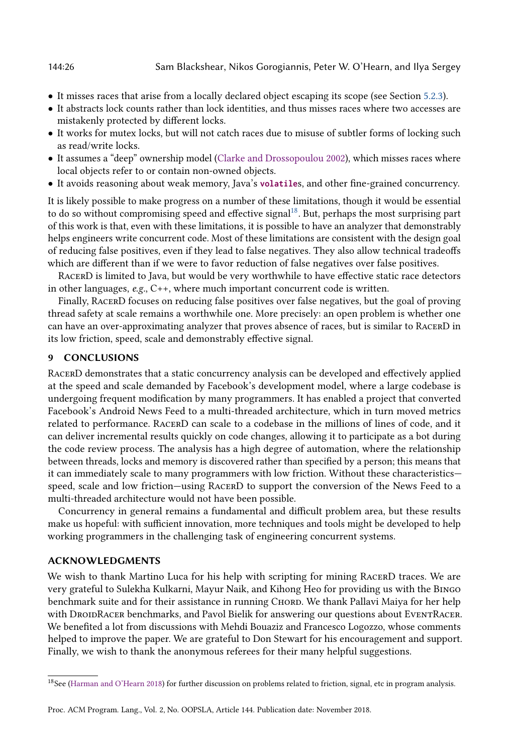### 144:26 Sam Blackshear, Nikos Gorogiannis, Peter W. O'Hearn, and Ilya Sergey

- It misses races that arise from a locally declared object escaping its scope (see Section [5.2.3\)](#page-9-0).
- It abstracts lock counts rather than lock identities, and thus misses races where two accesses are mistakenly protected by different locks.
- It works for mutex locks, but will not catch races due to misuse of subtler forms of locking such as read/write locks.
- It assumes a "deep" ownership model [\(Clarke and Drossopoulou 2002\)](#page-26-25), which misses races where local objects refer to or contain non-owned objects.
- It avoids reasoning about weak memory, Java's **volatile**s, and other fine-grained concurrency.

It is likely possible to make progress on a number of these limitations, though it would be essential to do so without compromising speed and effective signal<sup>[18](#page-25-0)</sup>. But, perhaps the most surprising part of this work is that, even with these limitations, it is possible to have an analyzer that demonstrably helps engineers write concurrent code. Most of these limitations are consistent with the design goal of reducing false positives, even if they lead to false negatives. They also allow technical tradeoffs which are different than if we were to favor reduction of false negatives over false positives.

RacerD is limited to Java, but would be very worthwhile to have effective static race detectors in other languages, e.g., C++, where much important concurrent code is written.

Finally, RacerD focuses on reducing false positives over false negatives, but the goal of proving thread safety at scale remains a worthwhile one. More precisely: an open problem is whether one can have an over-approximating analyzer that proves absence of races, but is similar to RACERD in its low friction, speed, scale and demonstrably effective signal.

# 9 CONCLUSIONS

RacerD demonstrates that a static concurrency analysis can be developed and effectively applied at the speed and scale demanded by Facebook's development model, where a large codebase is undergoing frequent modification by many programmers. It has enabled a project that converted Facebook's Android News Feed to a multi-threaded architecture, which in turn moved metrics related to performance. RacerD can scale to a codebase in the millions of lines of code, and it can deliver incremental results quickly on code changes, allowing it to participate as a bot during the code review process. The analysis has a high degree of automation, where the relationship between threads, locks and memory is discovered rather than specified by a person; this means that it can immediately scale to many programmers with low friction. Without these characteristics speed, scale and low friction–using RACERD to support the conversion of the News Feed to a multi-threaded architecture would not have been possible.

Concurrency in general remains a fundamental and difficult problem area, but these results make us hopeful: with sufficient innovation, more techniques and tools might be developed to help working programmers in the challenging task of engineering concurrent systems.

## ACKNOWLEDGMENTS

We wish to thank Martino Luca for his help with scripting for mining RACERD traces. We are very grateful to Sulekha Kulkarni, Mayur Naik, and Kihong Heo for providing us with the Bingo benchmark suite and for their assistance in running CHORD. We thank Pallavi Maiya for her help with DroidRacer benchmarks, and Pavol Bielik for answering our questions about EventRacer. We benefited a lot from discussions with Mehdi Bouaziz and Francesco Logozzo, whose comments helped to improve the paper. We are grateful to Don Stewart for his encouragement and support. Finally, we wish to thank the anonymous referees for their many helpful suggestions.

<span id="page-25-0"></span> $^{18}$ See [\(Harman and O'Hearn 2018\)](#page-26-26) for further discussion on problems related to friction, signal, etc in program analysis.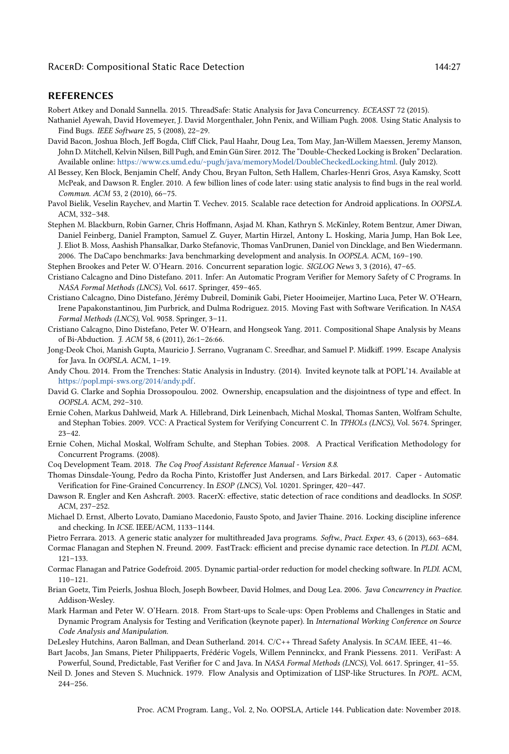#### REFERENCES

<span id="page-26-22"></span>Robert Atkey and Donald Sannella. 2015. ThreadSafe: Static Analysis for Java Concurrency. ECEASST 72 (2015).

- <span id="page-26-2"></span>Nathaniel Ayewah, David Hovemeyer, J. David Morgenthaler, John Penix, and William Pugh. 2008. Using Static Analysis to Find Bugs. IEEE Software 25, 5 (2008), 22-29.
- <span id="page-26-11"></span>David Bacon, Joshua Bloch, Jeff Bogda, Cliff Click, Paul Haahr, Doug Lea, Tom May, Jan-Willem Maessen, Jeremy Manson, John D. Mitchell, Kelvin Nilsen, Bill Pugh, and Emin Gün Sirer. 2012. The "Double-Checked Locking is Broken" Declaration. Available online: [https://www.cs.umd.edu/~pugh/java/memoryModel/DoubleCheckedLocking.html.](https://www.cs.umd.edu/~pugh/java/memoryModel/DoubleCheckedLocking.html) (July 2012).
- <span id="page-26-3"></span>Al Bessey, Ken Block, Benjamin Chelf, Andy Chou, Bryan Fulton, Seth Hallem, Charles-Henri Gros, Asya Kamsky, Scott McPeak, and Dawson R. Engler. 2010. A few billion lines of code later: using static analysis to find bugs in the real world. Commun. ACM 53, 2 (2010), 66-75.
- <span id="page-26-13"></span>Pavol Bielik, Veselin Raychev, and Martin T. Vechev. 2015. Scalable race detection for Android applications. In OOPSLA.  $ACM$ , 332–348.
- <span id="page-26-12"></span>Stephen M. Blackburn, Robin Garner, Chris Hoffmann, Asjad M. Khan, Kathryn S. McKinley, Rotem Bentzur, Amer Diwan, Daniel Feinberg, Daniel Frampton, Samuel Z. Guyer, Martin Hirzel, Antony L. Hosking, Maria Jump, Han Bok Lee, J. Eliot B. Moss, Aashish Phansalkar, Darko Stefanovic, Thomas VanDrunen, Daniel von Dincklage, and Ben Wiedermann. 2006. The DaCapo benchmarks: Java benchmarking development and analysis. In OOPSLA. ACM, 169-190.
- <span id="page-26-6"></span>Stephen Brookes and Peter W. O'Hearn. 2016. Concurrent separation logic. SIGLOG News 3, 3 (2016), 47-65.
- <span id="page-26-10"></span>Cristiano Calcagno and Dino Distefano. 2011. Infer: An Automatic Program Verifier for Memory Safety of C Programs. In NASA Formal Methods (LNCS), Vol. 6617. Springer, 459-465.
- <span id="page-26-4"></span>Cristiano Calcagno, Dino Distefano, Jérémy Dubreil, Dominik Gabi, Pieter Hooimeijer, Martino Luca, Peter W. O'Hearn, Irene Papakonstantinou, Jim Purbrick, and Dulma Rodriguez. 2015. Moving Fast with Software Verification. In NASA Formal Methods (LNCS), Vol. 9058. Springer, 3-11.
- <span id="page-26-5"></span>Cristiano Calcagno, Dino Distefano, Peter W. O'Hearn, and Hongseok Yang. 2011. Compositional Shape Analysis by Means of Bi-Abduction. *J. ACM* 58, 6 (2011), 26:1-26:66.
- <span id="page-26-8"></span>Jong-Deok Choi, Manish Gupta, Mauricio J. Serrano, Vugranam C. Sreedhar, and Samuel P. Midkiff. 1999. Escape Analysis for Java. In OOPSLA. ACM, 1-19.
- <span id="page-26-24"></span>Andy Chou. 2014. From the Trenches: Static Analysis in Industry. (2014). Invited keynote talk at POPL'14. Available at [https://popl.mpi-sws.org/2014/andy.pdf.](https://popl.mpi-sws.org/2014/andy.pdf)
- <span id="page-26-25"></span>David G. Clarke and Sophia Drossopoulou. 2002. Ownership, encapsulation and the disjointness of type and effect. In OOPSLA. ACM, 292-310.
- <span id="page-26-16"></span>Ernie Cohen, Markus Dahlweid, Mark A. Hillebrand, Dirk Leinenbach, Michal Moskal, Thomas Santen, Wolfram Schulte, and Stephan Tobies. 2009. VCC: A Practical System for Verifying Concurrent C. In TPHOLs (LNCS), Vol. 5674. Springer,  $23 - 42$
- <span id="page-26-9"></span>Ernie Cohen, Michal Moskal, Wolfram Schulte, and Stephan Tobies. 2008. A Practical Verification Methodology for Concurrent Programs. (2008).
- <span id="page-26-19"></span><span id="page-26-18"></span>Coq Development Team. 2018. The Coq Proof Assistant Reference Manual - Version 8.8.
- Thomas Dinsdale-Young, Pedro da Rocha Pinto, Kristoffer Just Andersen, and Lars Birkedal. 2017. Caper Automatic Verification for Fine-Grained Concurrency. In ESOP (LNCS), Vol. 10201. Springer, 420-447.
- <span id="page-26-21"></span>Dawson R. Engler and Ken Ashcraft. 2003. RacerX: effective, static detection of race conditions and deadlocks. In SOSP. ACM, 237-252.
- <span id="page-26-0"></span>Michael D. Ernst, Alberto Lovato, Damiano Macedonio, Fausto Spoto, and Javier Thaine. 2016. Locking discipline inference and checking. In ICSE. IEEE/ACM, 1133-1144.
- <span id="page-26-23"></span>Pietro Ferrara. 2013. A generic static analyzer for multithreaded Java programs. Softw., Pract. Exper. 43, 6 (2013), 663-684.
- <span id="page-26-14"></span>Cormac Flanagan and Stephen N. Freund. 2009. FastTrack: efficient and precise dynamic race detection. In PLDI. ACM,  $121 - 133.$
- <span id="page-26-15"></span>Cormac Flanagan and Patrice Godefroid. 2005. Dynamic partial-order reduction for model checking software. In PLDI. ACM,  $110 - 121.$
- <span id="page-26-1"></span>Brian Goetz, Tim Peierls, Joshua Bloch, Joseph Bowbeer, David Holmes, and Doug Lea. 2006. Java Concurrency in Practice. Addison-Wesley.
- <span id="page-26-26"></span>Mark Harman and Peter W. O'Hearn. 2018. From Start-ups to Scale-ups: Open Problems and Challenges in Static and Dynamic Program Analysis for Testing and Verification (keynote paper). In International Working Conference on Source Code Analysis and Manipulation.
- <span id="page-26-20"></span>DeLesley Hutchins, Aaron Ballman, and Dean Sutherland. 2014. C/C++ Thread Safety Analysis. In SCAM. IEEE, 41-46.
- <span id="page-26-17"></span>Bart Jacobs, Jan Smans, Pieter Philippaerts, Frédéric Vogels, Willem Penninckx, and Frank Piessens. 2011. VeriFast: A Powerful, Sound, Predictable, Fast Verifier for C and Java. In NASA Formal Methods (LNCS), Vol. 6617. Springer, 41-55.
- <span id="page-26-7"></span>Neil D. Jones and Steven S. Muchnick. 1979. Flow Analysis and Optimization of LISP-like Structures. In POPL. ACM,  $244 - 256.$